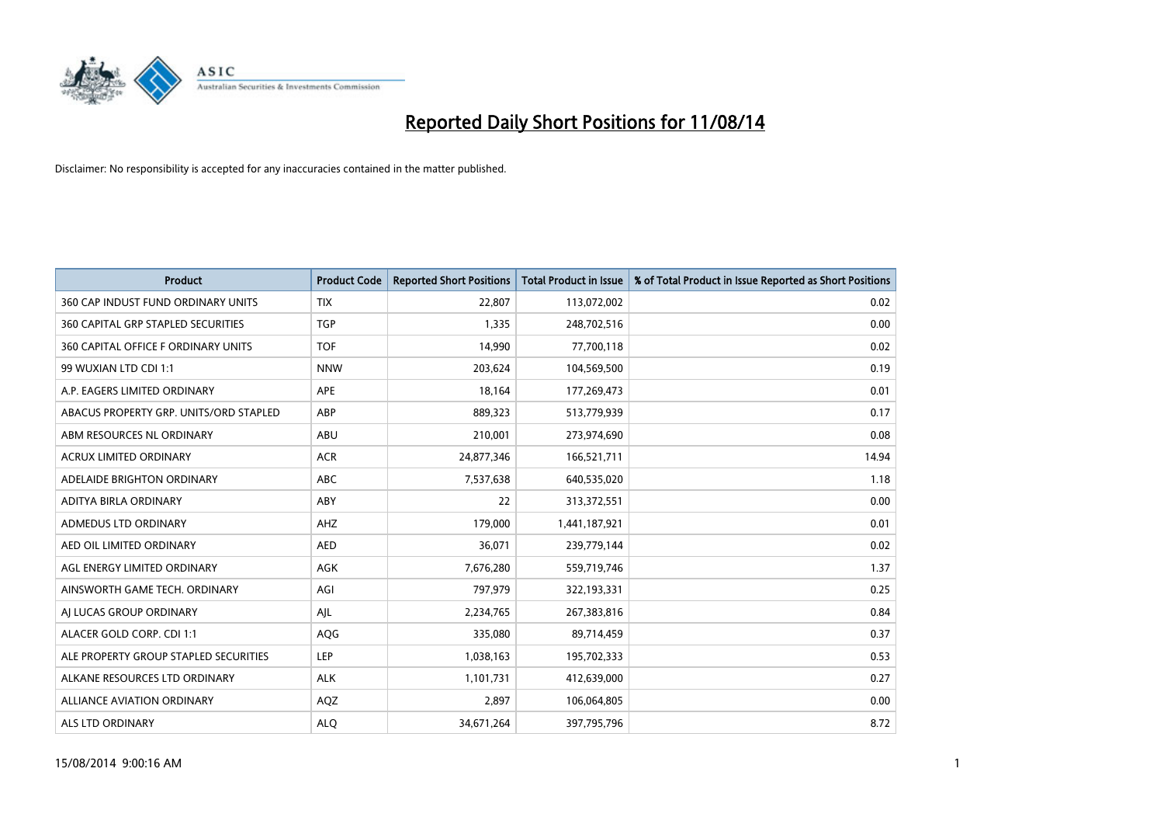

| <b>Product</b>                            | <b>Product Code</b> | <b>Reported Short Positions</b> | <b>Total Product in Issue</b> | % of Total Product in Issue Reported as Short Positions |
|-------------------------------------------|---------------------|---------------------------------|-------------------------------|---------------------------------------------------------|
| 360 CAP INDUST FUND ORDINARY UNITS        | <b>TIX</b>          | 22,807                          | 113,072,002                   | 0.02                                                    |
| <b>360 CAPITAL GRP STAPLED SECURITIES</b> | <b>TGP</b>          | 1,335                           | 248,702,516                   | 0.00                                                    |
| 360 CAPITAL OFFICE F ORDINARY UNITS       | <b>TOF</b>          | 14,990                          | 77,700,118                    | 0.02                                                    |
| 99 WUXIAN LTD CDI 1:1                     | <b>NNW</b>          | 203,624                         | 104,569,500                   | 0.19                                                    |
| A.P. EAGERS LIMITED ORDINARY              | APE                 | 18,164                          | 177,269,473                   | 0.01                                                    |
| ABACUS PROPERTY GRP. UNITS/ORD STAPLED    | ABP                 | 889,323                         | 513,779,939                   | 0.17                                                    |
| ABM RESOURCES NL ORDINARY                 | ABU                 | 210,001                         | 273,974,690                   | 0.08                                                    |
| <b>ACRUX LIMITED ORDINARY</b>             | <b>ACR</b>          | 24,877,346                      | 166,521,711                   | 14.94                                                   |
| ADELAIDE BRIGHTON ORDINARY                | <b>ABC</b>          | 7,537,638                       | 640,535,020                   | 1.18                                                    |
| ADITYA BIRLA ORDINARY                     | ABY                 | 22                              | 313,372,551                   | 0.00                                                    |
| ADMEDUS LTD ORDINARY                      | AHZ                 | 179,000                         | 1,441,187,921                 | 0.01                                                    |
| AED OIL LIMITED ORDINARY                  | <b>AED</b>          | 36,071                          | 239,779,144                   | 0.02                                                    |
| AGL ENERGY LIMITED ORDINARY               | AGK                 | 7,676,280                       | 559,719,746                   | 1.37                                                    |
| AINSWORTH GAME TECH. ORDINARY             | AGI                 | 797,979                         | 322,193,331                   | 0.25                                                    |
| AJ LUCAS GROUP ORDINARY                   | AJL                 | 2,234,765                       | 267,383,816                   | 0.84                                                    |
| ALACER GOLD CORP. CDI 1:1                 | AQG                 | 335,080                         | 89,714,459                    | 0.37                                                    |
| ALE PROPERTY GROUP STAPLED SECURITIES     | LEP                 | 1,038,163                       | 195,702,333                   | 0.53                                                    |
| ALKANE RESOURCES LTD ORDINARY             | <b>ALK</b>          | 1,101,731                       | 412,639,000                   | 0.27                                                    |
| <b>ALLIANCE AVIATION ORDINARY</b>         | AQZ                 | 2,897                           | 106,064,805                   | 0.00                                                    |
| ALS LTD ORDINARY                          | <b>ALQ</b>          | 34,671,264                      | 397,795,796                   | 8.72                                                    |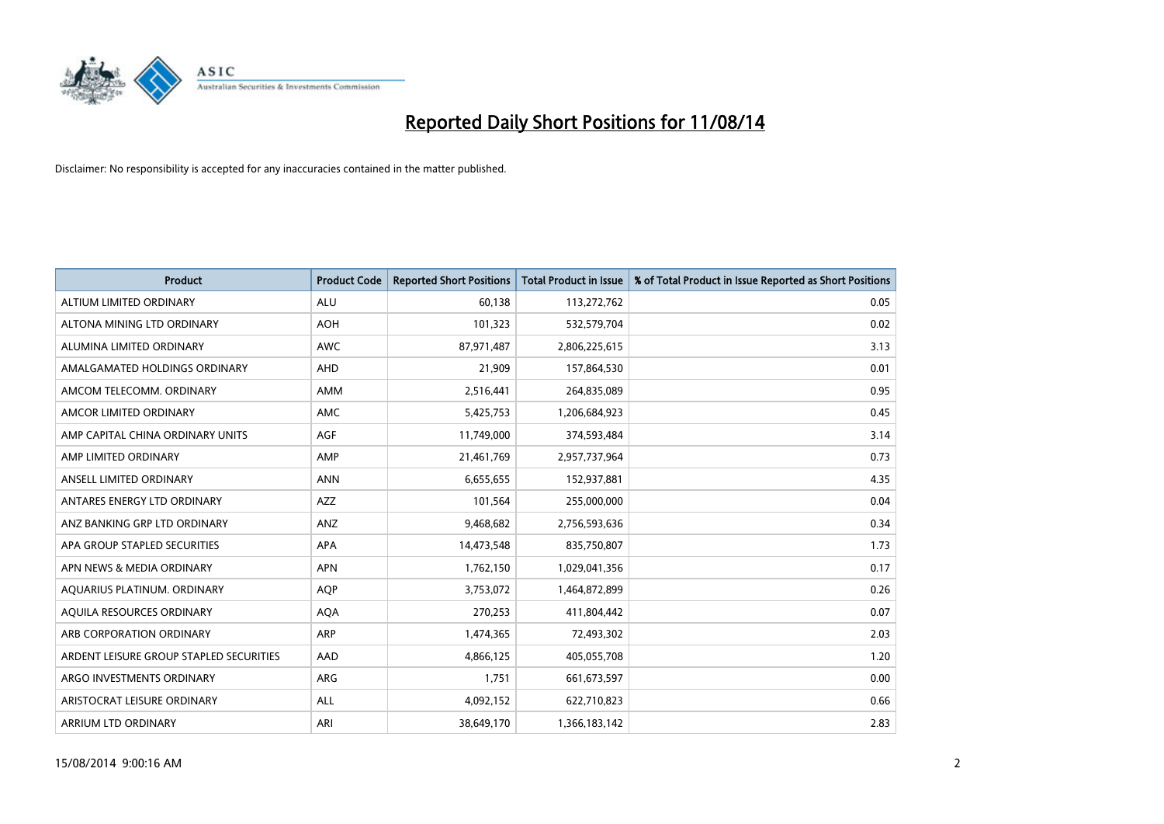

| <b>Product</b>                          | <b>Product Code</b> | <b>Reported Short Positions</b> | <b>Total Product in Issue</b> | % of Total Product in Issue Reported as Short Positions |
|-----------------------------------------|---------------------|---------------------------------|-------------------------------|---------------------------------------------------------|
| ALTIUM LIMITED ORDINARY                 | <b>ALU</b>          | 60,138                          | 113,272,762                   | 0.05                                                    |
| ALTONA MINING LTD ORDINARY              | <b>AOH</b>          | 101,323                         | 532,579,704                   | 0.02                                                    |
| ALUMINA LIMITED ORDINARY                | <b>AWC</b>          | 87,971,487                      | 2,806,225,615                 | 3.13                                                    |
| AMALGAMATED HOLDINGS ORDINARY           | AHD                 | 21,909                          | 157,864,530                   | 0.01                                                    |
| AMCOM TELECOMM, ORDINARY                | AMM                 | 2,516,441                       | 264,835,089                   | 0.95                                                    |
| AMCOR LIMITED ORDINARY                  | <b>AMC</b>          | 5,425,753                       | 1,206,684,923                 | 0.45                                                    |
| AMP CAPITAL CHINA ORDINARY UNITS        | AGF                 | 11,749,000                      | 374,593,484                   | 3.14                                                    |
| AMP LIMITED ORDINARY                    | AMP                 | 21,461,769                      | 2,957,737,964                 | 0.73                                                    |
| ANSELL LIMITED ORDINARY                 | <b>ANN</b>          | 6,655,655                       | 152,937,881                   | 4.35                                                    |
| ANTARES ENERGY LTD ORDINARY             | <b>AZZ</b>          | 101,564                         | 255,000,000                   | 0.04                                                    |
| ANZ BANKING GRP LTD ORDINARY            | ANZ                 | 9,468,682                       | 2,756,593,636                 | 0.34                                                    |
| APA GROUP STAPLED SECURITIES            | APA                 | 14,473,548                      | 835,750,807                   | 1.73                                                    |
| APN NEWS & MEDIA ORDINARY               | <b>APN</b>          | 1,762,150                       | 1,029,041,356                 | 0.17                                                    |
| AQUARIUS PLATINUM. ORDINARY             | <b>AOP</b>          | 3,753,072                       | 1,464,872,899                 | 0.26                                                    |
| AQUILA RESOURCES ORDINARY               | <b>AQA</b>          | 270,253                         | 411,804,442                   | 0.07                                                    |
| ARB CORPORATION ORDINARY                | ARP                 | 1,474,365                       | 72,493,302                    | 2.03                                                    |
| ARDENT LEISURE GROUP STAPLED SECURITIES | AAD                 | 4,866,125                       | 405,055,708                   | 1.20                                                    |
| ARGO INVESTMENTS ORDINARY               | ARG                 | 1,751                           | 661,673,597                   | 0.00                                                    |
| ARISTOCRAT LEISURE ORDINARY             | ALL                 | 4,092,152                       | 622,710,823                   | 0.66                                                    |
| ARRIUM LTD ORDINARY                     | ARI                 | 38,649,170                      | 1,366,183,142                 | 2.83                                                    |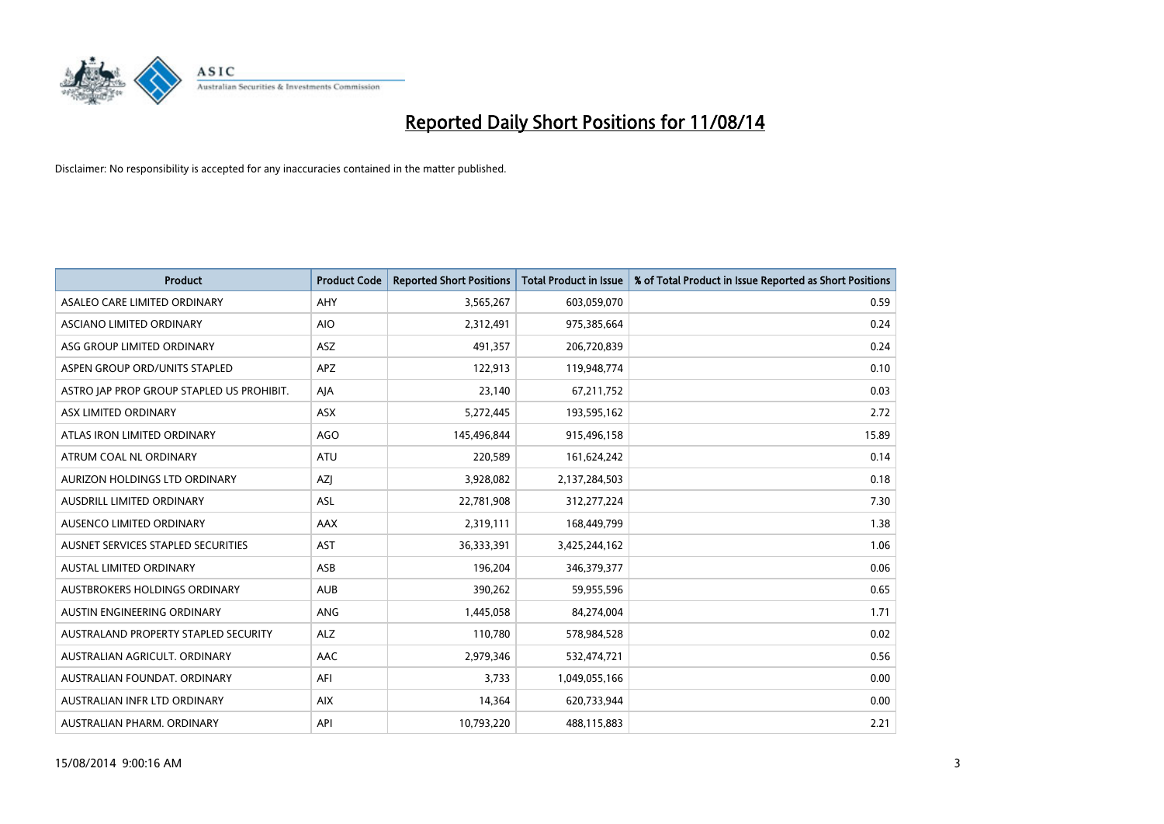

| <b>Product</b>                            | <b>Product Code</b> | <b>Reported Short Positions</b> | <b>Total Product in Issue</b> | % of Total Product in Issue Reported as Short Positions |
|-------------------------------------------|---------------------|---------------------------------|-------------------------------|---------------------------------------------------------|
| ASALEO CARE LIMITED ORDINARY              | AHY                 | 3,565,267                       | 603,059,070                   | 0.59                                                    |
| ASCIANO LIMITED ORDINARY                  | <b>AIO</b>          | 2,312,491                       | 975,385,664                   | 0.24                                                    |
| ASG GROUP LIMITED ORDINARY                | <b>ASZ</b>          | 491,357                         | 206,720,839                   | 0.24                                                    |
| ASPEN GROUP ORD/UNITS STAPLED             | APZ                 | 122,913                         | 119,948,774                   | 0.10                                                    |
| ASTRO JAP PROP GROUP STAPLED US PROHIBIT. | AJA                 | 23,140                          | 67,211,752                    | 0.03                                                    |
| ASX LIMITED ORDINARY                      | ASX                 | 5,272,445                       | 193,595,162                   | 2.72                                                    |
| ATLAS IRON LIMITED ORDINARY               | <b>AGO</b>          | 145,496,844                     | 915,496,158                   | 15.89                                                   |
| ATRUM COAL NL ORDINARY                    | ATU                 | 220,589                         | 161,624,242                   | 0.14                                                    |
| AURIZON HOLDINGS LTD ORDINARY             | AZJ                 | 3,928,082                       | 2,137,284,503                 | 0.18                                                    |
| AUSDRILL LIMITED ORDINARY                 | <b>ASL</b>          | 22,781,908                      | 312,277,224                   | 7.30                                                    |
| AUSENCO LIMITED ORDINARY                  | AAX                 | 2,319,111                       | 168,449,799                   | 1.38                                                    |
| AUSNET SERVICES STAPLED SECURITIES        | <b>AST</b>          | 36,333,391                      | 3,425,244,162                 | 1.06                                                    |
| AUSTAL LIMITED ORDINARY                   | ASB                 | 196,204                         | 346,379,377                   | 0.06                                                    |
| AUSTBROKERS HOLDINGS ORDINARY             | <b>AUB</b>          | 390,262                         | 59,955,596                    | 0.65                                                    |
| AUSTIN ENGINEERING ORDINARY               | ANG                 | 1,445,058                       | 84,274,004                    | 1.71                                                    |
| AUSTRALAND PROPERTY STAPLED SECURITY      | <b>ALZ</b>          | 110,780                         | 578,984,528                   | 0.02                                                    |
| AUSTRALIAN AGRICULT. ORDINARY             | AAC                 | 2,979,346                       | 532,474,721                   | 0.56                                                    |
| AUSTRALIAN FOUNDAT. ORDINARY              | AFI                 | 3,733                           | 1,049,055,166                 | 0.00                                                    |
| AUSTRALIAN INFR LTD ORDINARY              | <b>AIX</b>          | 14,364                          | 620,733,944                   | 0.00                                                    |
| AUSTRALIAN PHARM. ORDINARY                | API                 | 10,793,220                      | 488,115,883                   | 2.21                                                    |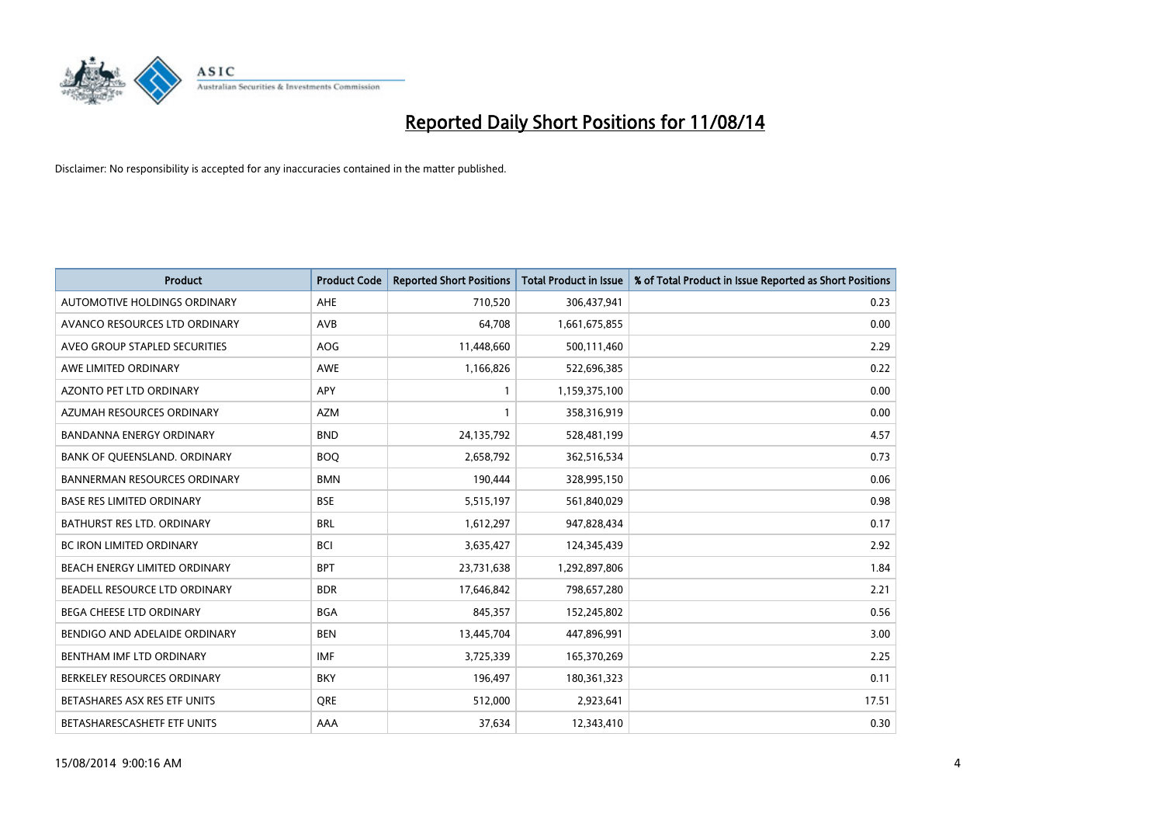

| <b>Product</b>                       | <b>Product Code</b> | <b>Reported Short Positions</b> | <b>Total Product in Issue</b> | % of Total Product in Issue Reported as Short Positions |
|--------------------------------------|---------------------|---------------------------------|-------------------------------|---------------------------------------------------------|
| AUTOMOTIVE HOLDINGS ORDINARY         | AHE                 | 710,520                         | 306,437,941                   | 0.23                                                    |
| AVANCO RESOURCES LTD ORDINARY        | AVB                 | 64,708                          | 1,661,675,855                 | 0.00                                                    |
| AVEO GROUP STAPLED SECURITIES        | <b>AOG</b>          | 11,448,660                      | 500,111,460                   | 2.29                                                    |
| AWE LIMITED ORDINARY                 | <b>AWE</b>          | 1,166,826                       | 522,696,385                   | 0.22                                                    |
| <b>AZONTO PET LTD ORDINARY</b>       | APY                 | $\mathbf{1}$                    | 1,159,375,100                 | 0.00                                                    |
| AZUMAH RESOURCES ORDINARY            | <b>AZM</b>          | $\mathbf{1}$                    | 358,316,919                   | 0.00                                                    |
| <b>BANDANNA ENERGY ORDINARY</b>      | <b>BND</b>          | 24,135,792                      | 528,481,199                   | 4.57                                                    |
| BANK OF QUEENSLAND. ORDINARY         | <b>BOO</b>          | 2,658,792                       | 362,516,534                   | 0.73                                                    |
| <b>BANNERMAN RESOURCES ORDINARY</b>  | <b>BMN</b>          | 190,444                         | 328,995,150                   | 0.06                                                    |
| <b>BASE RES LIMITED ORDINARY</b>     | <b>BSE</b>          | 5,515,197                       | 561,840,029                   | 0.98                                                    |
| BATHURST RES LTD. ORDINARY           | <b>BRL</b>          | 1,612,297                       | 947,828,434                   | 0.17                                                    |
| <b>BC IRON LIMITED ORDINARY</b>      | <b>BCI</b>          | 3,635,427                       | 124,345,439                   | 2.92                                                    |
| BEACH ENERGY LIMITED ORDINARY        | <b>BPT</b>          | 23,731,638                      | 1,292,897,806                 | 1.84                                                    |
| <b>BEADELL RESOURCE LTD ORDINARY</b> | <b>BDR</b>          | 17,646,842                      | 798,657,280                   | 2.21                                                    |
| BEGA CHEESE LTD ORDINARY             | <b>BGA</b>          | 845,357                         | 152,245,802                   | 0.56                                                    |
| BENDIGO AND ADELAIDE ORDINARY        | <b>BEN</b>          | 13,445,704                      | 447,896,991                   | 3.00                                                    |
| BENTHAM IMF LTD ORDINARY             | IMF                 | 3,725,339                       | 165,370,269                   | 2.25                                                    |
| BERKELEY RESOURCES ORDINARY          | <b>BKY</b>          | 196,497                         | 180,361,323                   | 0.11                                                    |
| BETASHARES ASX RES ETF UNITS         | <b>ORE</b>          | 512,000                         | 2,923,641                     | 17.51                                                   |
| BETASHARESCASHETF ETF UNITS          | AAA                 | 37,634                          | 12,343,410                    | 0.30                                                    |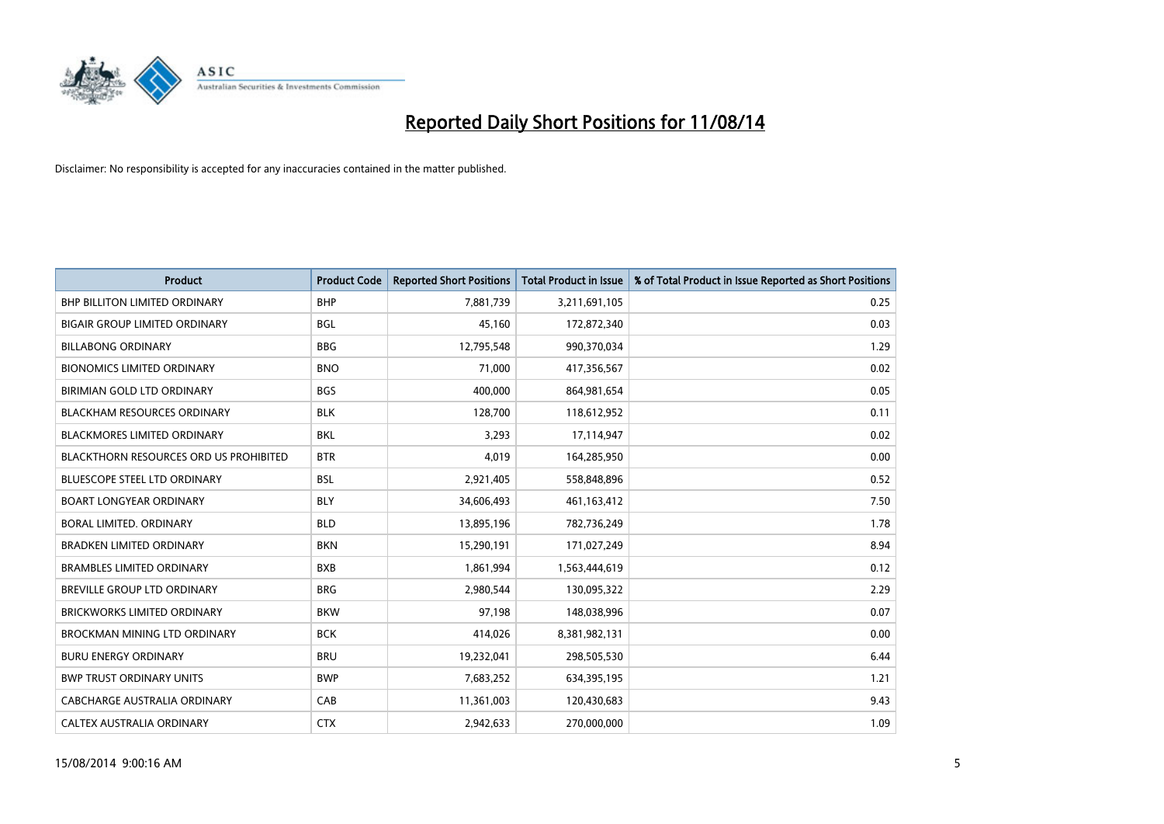

| <b>Product</b>                                | <b>Product Code</b> | <b>Reported Short Positions</b> | Total Product in Issue | % of Total Product in Issue Reported as Short Positions |
|-----------------------------------------------|---------------------|---------------------------------|------------------------|---------------------------------------------------------|
| <b>BHP BILLITON LIMITED ORDINARY</b>          | <b>BHP</b>          | 7,881,739                       | 3,211,691,105          | 0.25                                                    |
| <b>BIGAIR GROUP LIMITED ORDINARY</b>          | <b>BGL</b>          | 45.160                          | 172,872,340            | 0.03                                                    |
| <b>BILLABONG ORDINARY</b>                     | <b>BBG</b>          | 12,795,548                      | 990,370,034            | 1.29                                                    |
| <b>BIONOMICS LIMITED ORDINARY</b>             | <b>BNO</b>          | 71,000                          | 417,356,567            | 0.02                                                    |
| <b>BIRIMIAN GOLD LTD ORDINARY</b>             | <b>BGS</b>          | 400,000                         | 864,981,654            | 0.05                                                    |
| <b>BLACKHAM RESOURCES ORDINARY</b>            | <b>BLK</b>          | 128,700                         | 118,612,952            | 0.11                                                    |
| <b>BLACKMORES LIMITED ORDINARY</b>            | <b>BKL</b>          | 3,293                           | 17,114,947             | 0.02                                                    |
| <b>BLACKTHORN RESOURCES ORD US PROHIBITED</b> | <b>BTR</b>          | 4,019                           | 164,285,950            | 0.00                                                    |
| BLUESCOPE STEEL LTD ORDINARY                  | <b>BSL</b>          | 2,921,405                       | 558,848,896            | 0.52                                                    |
| <b>BOART LONGYEAR ORDINARY</b>                | <b>BLY</b>          | 34,606,493                      | 461,163,412            | 7.50                                                    |
| <b>BORAL LIMITED, ORDINARY</b>                | <b>BLD</b>          | 13,895,196                      | 782,736,249            | 1.78                                                    |
| <b>BRADKEN LIMITED ORDINARY</b>               | <b>BKN</b>          | 15,290,191                      | 171,027,249            | 8.94                                                    |
| <b>BRAMBLES LIMITED ORDINARY</b>              | <b>BXB</b>          | 1,861,994                       | 1,563,444,619          | 0.12                                                    |
| <b>BREVILLE GROUP LTD ORDINARY</b>            | <b>BRG</b>          | 2,980,544                       | 130,095,322            | 2.29                                                    |
| <b>BRICKWORKS LIMITED ORDINARY</b>            | <b>BKW</b>          | 97,198                          | 148,038,996            | 0.07                                                    |
| <b>BROCKMAN MINING LTD ORDINARY</b>           | <b>BCK</b>          | 414,026                         | 8,381,982,131          | 0.00                                                    |
| <b>BURU ENERGY ORDINARY</b>                   | <b>BRU</b>          | 19,232,041                      | 298,505,530            | 6.44                                                    |
| <b>BWP TRUST ORDINARY UNITS</b>               | <b>BWP</b>          | 7,683,252                       | 634,395,195            | 1.21                                                    |
| CABCHARGE AUSTRALIA ORDINARY                  | CAB                 | 11,361,003                      | 120,430,683            | 9.43                                                    |
| <b>CALTEX AUSTRALIA ORDINARY</b>              | <b>CTX</b>          | 2,942,633                       | 270,000,000            | 1.09                                                    |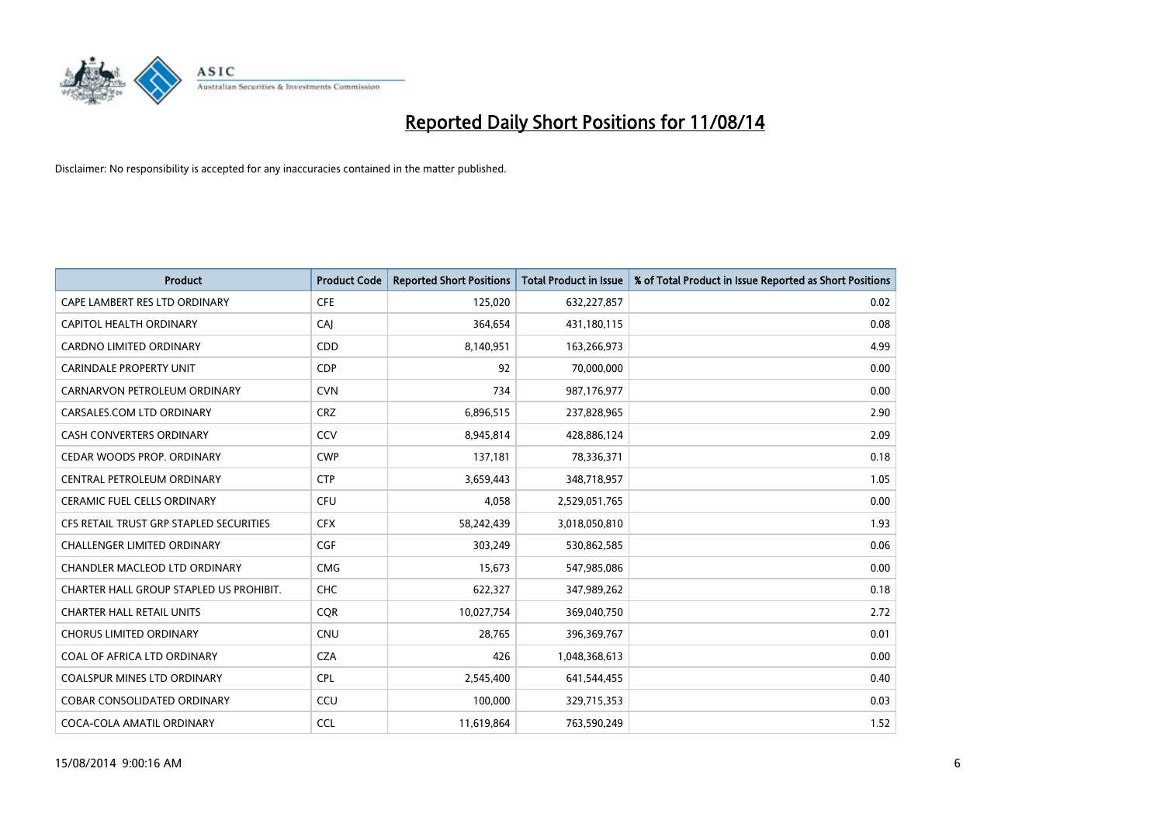

| <b>Product</b>                          | <b>Product Code</b> | <b>Reported Short Positions</b> | <b>Total Product in Issue</b> | % of Total Product in Issue Reported as Short Positions |
|-----------------------------------------|---------------------|---------------------------------|-------------------------------|---------------------------------------------------------|
| CAPE LAMBERT RES LTD ORDINARY           | <b>CFE</b>          | 125,020                         | 632,227,857                   | 0.02                                                    |
| CAPITOL HEALTH ORDINARY                 | CAI                 | 364,654                         | 431,180,115                   | 0.08                                                    |
| <b>CARDNO LIMITED ORDINARY</b>          | <b>CDD</b>          | 8,140,951                       | 163,266,973                   | 4.99                                                    |
| <b>CARINDALE PROPERTY UNIT</b>          | <b>CDP</b>          | 92                              | 70,000,000                    | 0.00                                                    |
| CARNARVON PETROLEUM ORDINARY            | <b>CVN</b>          | 734                             | 987,176,977                   | 0.00                                                    |
| CARSALES.COM LTD ORDINARY               | <b>CRZ</b>          | 6,896,515                       | 237,828,965                   | 2.90                                                    |
| <b>CASH CONVERTERS ORDINARY</b>         | CCV                 | 8,945,814                       | 428,886,124                   | 2.09                                                    |
| CEDAR WOODS PROP. ORDINARY              | <b>CWP</b>          | 137,181                         | 78,336,371                    | 0.18                                                    |
| CENTRAL PETROLEUM ORDINARY              | <b>CTP</b>          | 3,659,443                       | 348,718,957                   | 1.05                                                    |
| <b>CERAMIC FUEL CELLS ORDINARY</b>      | <b>CFU</b>          | 4,058                           | 2,529,051,765                 | 0.00                                                    |
| CFS RETAIL TRUST GRP STAPLED SECURITIES | <b>CFX</b>          | 58,242,439                      | 3,018,050,810                 | 1.93                                                    |
| <b>CHALLENGER LIMITED ORDINARY</b>      | <b>CGF</b>          | 303,249                         | 530,862,585                   | 0.06                                                    |
| CHANDLER MACLEOD LTD ORDINARY           | <b>CMG</b>          | 15,673                          | 547,985,086                   | 0.00                                                    |
| CHARTER HALL GROUP STAPLED US PROHIBIT. | <b>CHC</b>          | 622,327                         | 347,989,262                   | 0.18                                                    |
| <b>CHARTER HALL RETAIL UNITS</b>        | <b>CQR</b>          | 10,027,754                      | 369,040,750                   | 2.72                                                    |
| <b>CHORUS LIMITED ORDINARY</b>          | <b>CNU</b>          | 28,765                          | 396,369,767                   | 0.01                                                    |
| COAL OF AFRICA LTD ORDINARY             | <b>CZA</b>          | 426                             | 1,048,368,613                 | 0.00                                                    |
| COALSPUR MINES LTD ORDINARY             | <b>CPL</b>          | 2,545,400                       | 641,544,455                   | 0.40                                                    |
| <b>COBAR CONSOLIDATED ORDINARY</b>      | CCU                 | 100,000                         | 329,715,353                   | 0.03                                                    |
| COCA-COLA AMATIL ORDINARY               | <b>CCL</b>          | 11,619,864                      | 763,590,249                   | 1.52                                                    |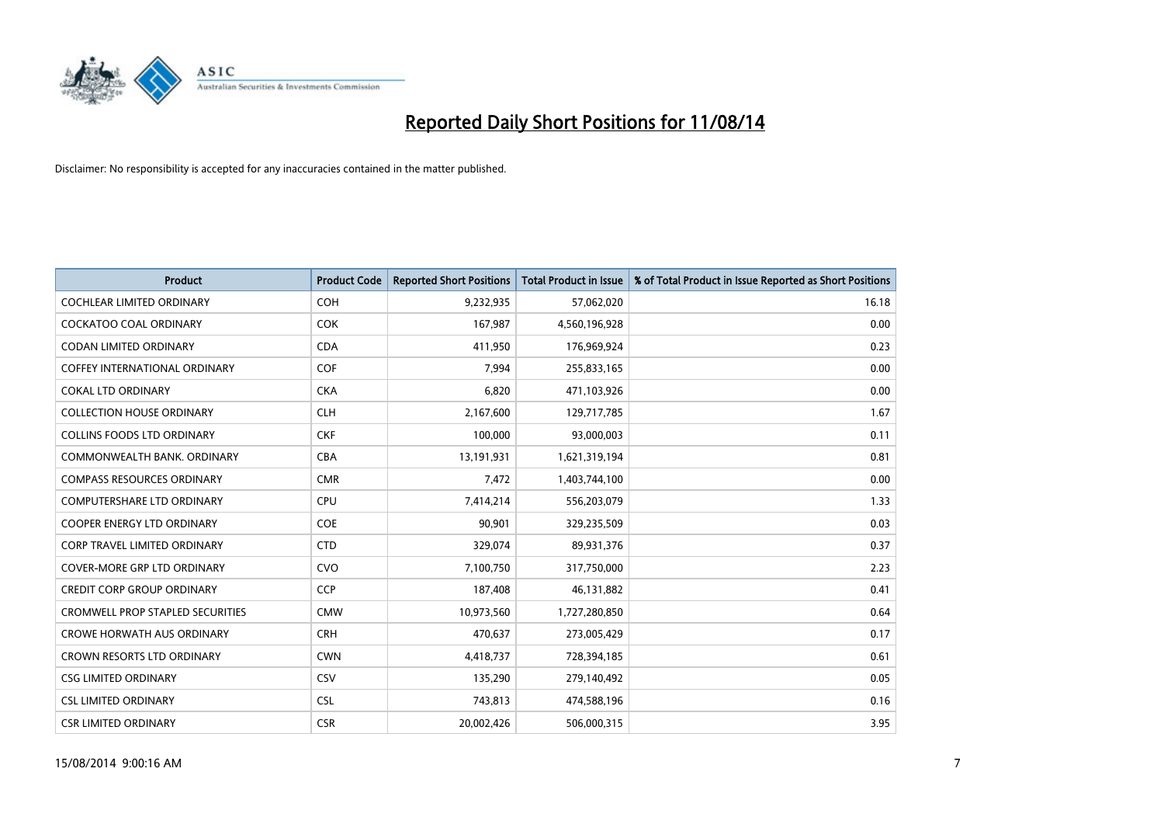

| <b>Product</b>                          | <b>Product Code</b> | <b>Reported Short Positions</b> | <b>Total Product in Issue</b> | % of Total Product in Issue Reported as Short Positions |
|-----------------------------------------|---------------------|---------------------------------|-------------------------------|---------------------------------------------------------|
| <b>COCHLEAR LIMITED ORDINARY</b>        | COH                 | 9,232,935                       | 57,062,020                    | 16.18                                                   |
| <b>COCKATOO COAL ORDINARY</b>           | <b>COK</b>          | 167,987                         | 4,560,196,928                 | 0.00                                                    |
| CODAN LIMITED ORDINARY                  | <b>CDA</b>          | 411,950                         | 176,969,924                   | 0.23                                                    |
| COFFEY INTERNATIONAL ORDINARY           | <b>COF</b>          | 7,994                           | 255,833,165                   | 0.00                                                    |
| <b>COKAL LTD ORDINARY</b>               | <b>CKA</b>          | 6,820                           | 471,103,926                   | 0.00                                                    |
| <b>COLLECTION HOUSE ORDINARY</b>        | <b>CLH</b>          | 2,167,600                       | 129,717,785                   | 1.67                                                    |
| <b>COLLINS FOODS LTD ORDINARY</b>       | <b>CKF</b>          | 100,000                         | 93,000,003                    | 0.11                                                    |
| COMMONWEALTH BANK, ORDINARY             | <b>CBA</b>          | 13,191,931                      | 1,621,319,194                 | 0.81                                                    |
| <b>COMPASS RESOURCES ORDINARY</b>       | <b>CMR</b>          | 7,472                           | 1,403,744,100                 | 0.00                                                    |
| <b>COMPUTERSHARE LTD ORDINARY</b>       | <b>CPU</b>          | 7,414,214                       | 556,203,079                   | 1.33                                                    |
| <b>COOPER ENERGY LTD ORDINARY</b>       | <b>COE</b>          | 90,901                          | 329,235,509                   | 0.03                                                    |
| <b>CORP TRAVEL LIMITED ORDINARY</b>     | <b>CTD</b>          | 329,074                         | 89,931,376                    | 0.37                                                    |
| <b>COVER-MORE GRP LTD ORDINARY</b>      | <b>CVO</b>          | 7,100,750                       | 317,750,000                   | 2.23                                                    |
| <b>CREDIT CORP GROUP ORDINARY</b>       | <b>CCP</b>          | 187,408                         | 46,131,882                    | 0.41                                                    |
| <b>CROMWELL PROP STAPLED SECURITIES</b> | <b>CMW</b>          | 10,973,560                      | 1,727,280,850                 | 0.64                                                    |
| <b>CROWE HORWATH AUS ORDINARY</b>       | <b>CRH</b>          | 470,637                         | 273,005,429                   | 0.17                                                    |
| <b>CROWN RESORTS LTD ORDINARY</b>       | <b>CWN</b>          | 4,418,737                       | 728,394,185                   | 0.61                                                    |
| <b>CSG LIMITED ORDINARY</b>             | CSV                 | 135,290                         | 279,140,492                   | 0.05                                                    |
| <b>CSL LIMITED ORDINARY</b>             | <b>CSL</b>          | 743,813                         | 474,588,196                   | 0.16                                                    |
| <b>CSR LIMITED ORDINARY</b>             | <b>CSR</b>          | 20,002,426                      | 506,000,315                   | 3.95                                                    |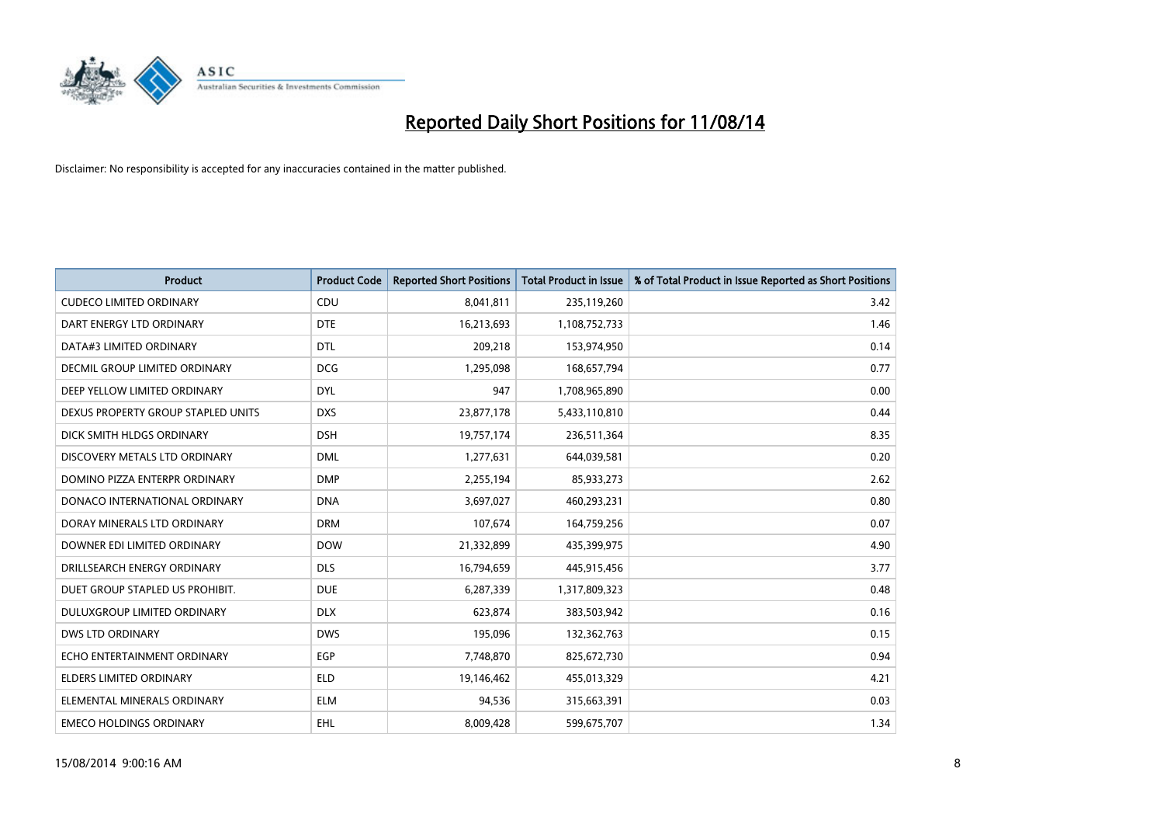

| <b>Product</b>                       | <b>Product Code</b> | <b>Reported Short Positions</b> | <b>Total Product in Issue</b> | % of Total Product in Issue Reported as Short Positions |
|--------------------------------------|---------------------|---------------------------------|-------------------------------|---------------------------------------------------------|
| <b>CUDECO LIMITED ORDINARY</b>       | CDU                 | 8,041,811                       | 235,119,260                   | 3.42                                                    |
| DART ENERGY LTD ORDINARY             | <b>DTE</b>          | 16,213,693                      | 1,108,752,733                 | 1.46                                                    |
| DATA#3 LIMITED ORDINARY              | <b>DTL</b>          | 209,218                         | 153,974,950                   | 0.14                                                    |
| <b>DECMIL GROUP LIMITED ORDINARY</b> | <b>DCG</b>          | 1,295,098                       | 168,657,794                   | 0.77                                                    |
| DEEP YELLOW LIMITED ORDINARY         | <b>DYL</b>          | 947                             | 1,708,965,890                 | 0.00                                                    |
| DEXUS PROPERTY GROUP STAPLED UNITS   | <b>DXS</b>          | 23,877,178                      | 5,433,110,810                 | 0.44                                                    |
| DICK SMITH HLDGS ORDINARY            | <b>DSH</b>          | 19,757,174                      | 236,511,364                   | 8.35                                                    |
| DISCOVERY METALS LTD ORDINARY        | <b>DML</b>          | 1,277,631                       | 644,039,581                   | 0.20                                                    |
| DOMINO PIZZA ENTERPR ORDINARY        | <b>DMP</b>          | 2,255,194                       | 85,933,273                    | 2.62                                                    |
| DONACO INTERNATIONAL ORDINARY        | <b>DNA</b>          | 3,697,027                       | 460,293,231                   | 0.80                                                    |
| DORAY MINERALS LTD ORDINARY          | <b>DRM</b>          | 107,674                         | 164,759,256                   | 0.07                                                    |
| DOWNER EDI LIMITED ORDINARY          | <b>DOW</b>          | 21,332,899                      | 435,399,975                   | 4.90                                                    |
| DRILLSEARCH ENERGY ORDINARY          | <b>DLS</b>          | 16,794,659                      | 445,915,456                   | 3.77                                                    |
| DUET GROUP STAPLED US PROHIBIT.      | <b>DUE</b>          | 6,287,339                       | 1,317,809,323                 | 0.48                                                    |
| DULUXGROUP LIMITED ORDINARY          | <b>DLX</b>          | 623,874                         | 383,503,942                   | 0.16                                                    |
| <b>DWS LTD ORDINARY</b>              | <b>DWS</b>          | 195,096                         | 132,362,763                   | 0.15                                                    |
| ECHO ENTERTAINMENT ORDINARY          | <b>EGP</b>          | 7,748,870                       | 825,672,730                   | 0.94                                                    |
| <b>ELDERS LIMITED ORDINARY</b>       | <b>ELD</b>          | 19,146,462                      | 455,013,329                   | 4.21                                                    |
| ELEMENTAL MINERALS ORDINARY          | <b>ELM</b>          | 94,536                          | 315,663,391                   | 0.03                                                    |
| <b>EMECO HOLDINGS ORDINARY</b>       | <b>EHL</b>          | 8,009,428                       | 599,675,707                   | 1.34                                                    |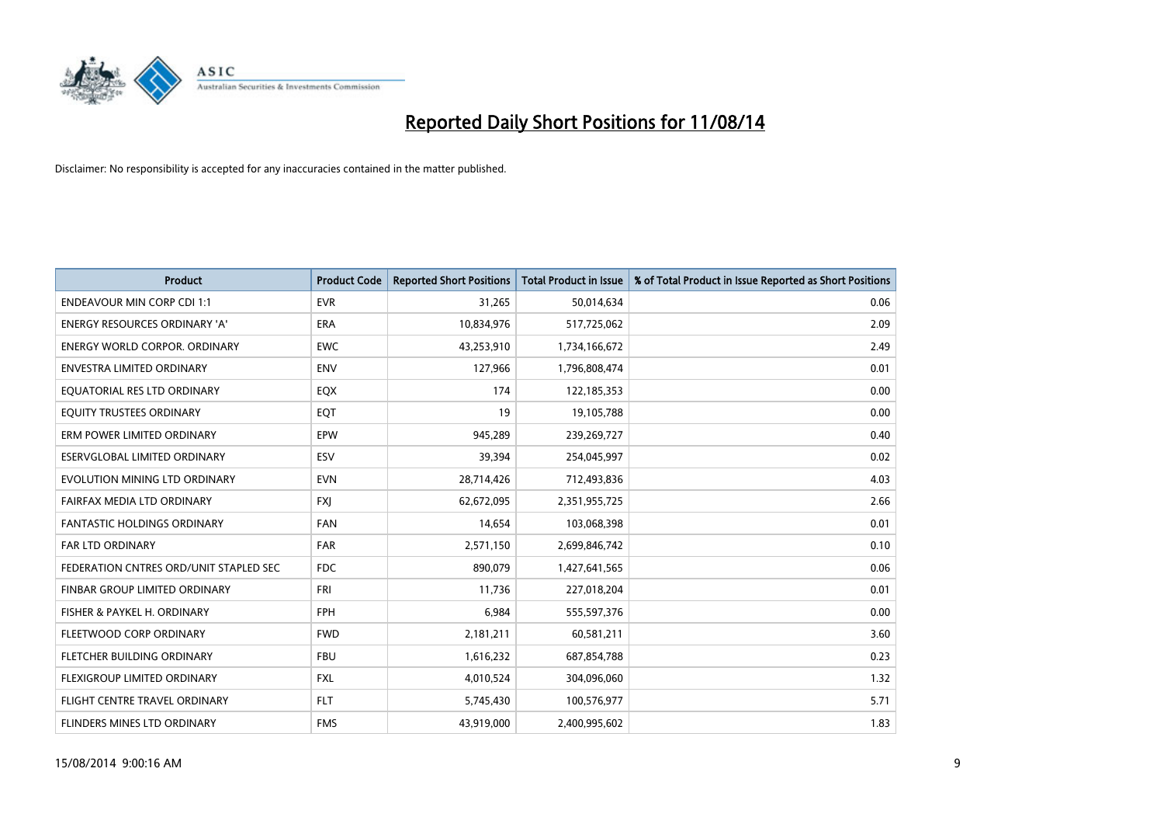

| <b>Product</b>                         | <b>Product Code</b> | <b>Reported Short Positions</b> | <b>Total Product in Issue</b> | % of Total Product in Issue Reported as Short Positions |
|----------------------------------------|---------------------|---------------------------------|-------------------------------|---------------------------------------------------------|
| <b>ENDEAVOUR MIN CORP CDI 1:1</b>      | <b>EVR</b>          | 31,265                          | 50,014,634                    | 0.06                                                    |
| ENERGY RESOURCES ORDINARY 'A'          | ERA                 | 10,834,976                      | 517,725,062                   | 2.09                                                    |
| <b>ENERGY WORLD CORPOR, ORDINARY</b>   | <b>EWC</b>          | 43,253,910                      | 1,734,166,672                 | 2.49                                                    |
| ENVESTRA LIMITED ORDINARY              | <b>ENV</b>          | 127,966                         | 1,796,808,474                 | 0.01                                                    |
| EQUATORIAL RES LTD ORDINARY            | EQX                 | 174                             | 122,185,353                   | 0.00                                                    |
| EQUITY TRUSTEES ORDINARY               | EQT                 | 19                              | 19,105,788                    | 0.00                                                    |
| ERM POWER LIMITED ORDINARY             | <b>EPW</b>          | 945,289                         | 239,269,727                   | 0.40                                                    |
| ESERVGLOBAL LIMITED ORDINARY           | ESV                 | 39,394                          | 254,045,997                   | 0.02                                                    |
| EVOLUTION MINING LTD ORDINARY          | <b>EVN</b>          | 28,714,426                      | 712,493,836                   | 4.03                                                    |
| FAIRFAX MEDIA LTD ORDINARY             | <b>FXI</b>          | 62,672,095                      | 2,351,955,725                 | 2.66                                                    |
| FANTASTIC HOLDINGS ORDINARY            | <b>FAN</b>          | 14,654                          | 103,068,398                   | 0.01                                                    |
| <b>FAR LTD ORDINARY</b>                | FAR                 | 2,571,150                       | 2,699,846,742                 | 0.10                                                    |
| FEDERATION CNTRES ORD/UNIT STAPLED SEC | <b>FDC</b>          | 890,079                         | 1,427,641,565                 | 0.06                                                    |
| FINBAR GROUP LIMITED ORDINARY          | <b>FRI</b>          | 11,736                          | 227,018,204                   | 0.01                                                    |
| FISHER & PAYKEL H. ORDINARY            | <b>FPH</b>          | 6,984                           | 555,597,376                   | 0.00                                                    |
| FLEETWOOD CORP ORDINARY                | <b>FWD</b>          | 2,181,211                       | 60,581,211                    | 3.60                                                    |
| FLETCHER BUILDING ORDINARY             | <b>FBU</b>          | 1,616,232                       | 687,854,788                   | 0.23                                                    |
| FLEXIGROUP LIMITED ORDINARY            | <b>FXL</b>          | 4,010,524                       | 304,096,060                   | 1.32                                                    |
| FLIGHT CENTRE TRAVEL ORDINARY          | <b>FLT</b>          | 5,745,430                       | 100,576,977                   | 5.71                                                    |
| FLINDERS MINES LTD ORDINARY            | <b>FMS</b>          | 43,919,000                      | 2,400,995,602                 | 1.83                                                    |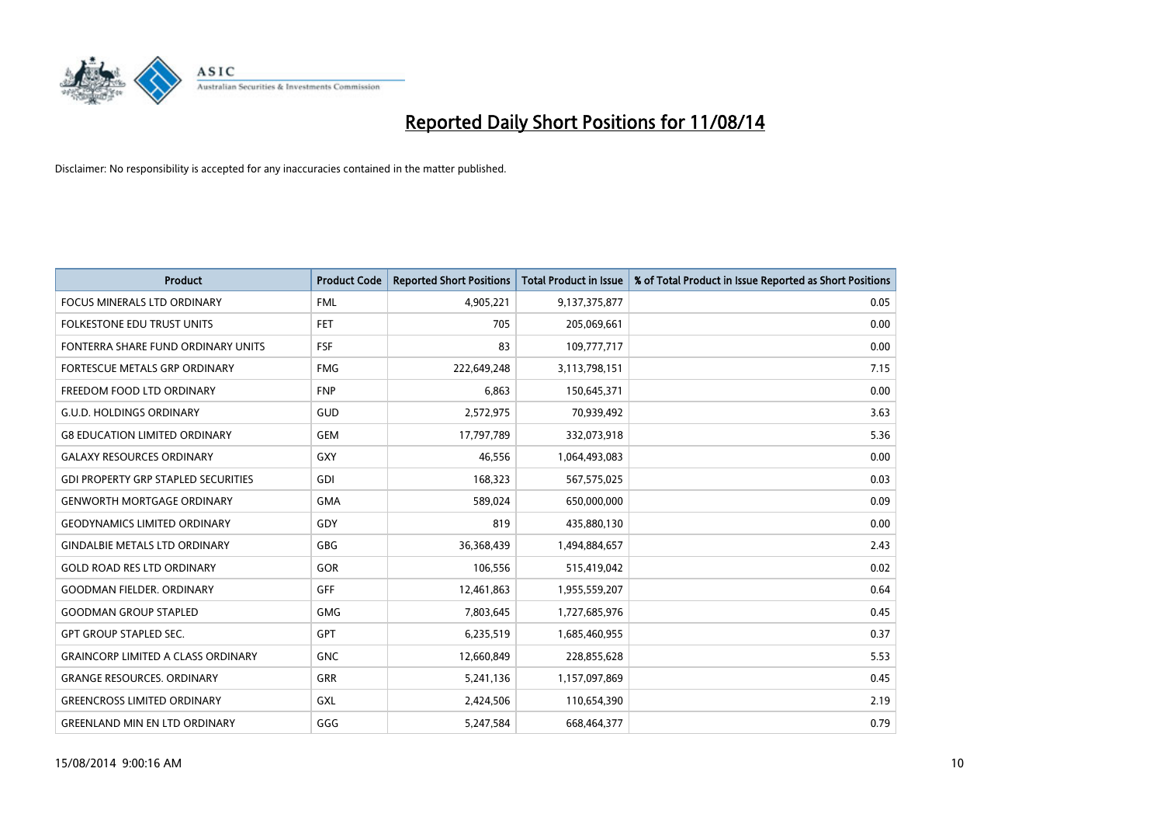

| Product                                    | <b>Product Code</b> | <b>Reported Short Positions</b> | <b>Total Product in Issue</b> | % of Total Product in Issue Reported as Short Positions |
|--------------------------------------------|---------------------|---------------------------------|-------------------------------|---------------------------------------------------------|
| <b>FOCUS MINERALS LTD ORDINARY</b>         | <b>FML</b>          | 4,905,221                       | 9,137,375,877                 | 0.05                                                    |
| FOLKESTONE EDU TRUST UNITS                 | FET                 | 705                             | 205,069,661                   | 0.00                                                    |
| FONTERRA SHARE FUND ORDINARY UNITS         | <b>FSF</b>          | 83                              | 109,777,717                   | 0.00                                                    |
| FORTESCUE METALS GRP ORDINARY              | <b>FMG</b>          | 222,649,248                     | 3,113,798,151                 | 7.15                                                    |
| FREEDOM FOOD LTD ORDINARY                  | <b>FNP</b>          | 6,863                           | 150,645,371                   | 0.00                                                    |
| <b>G.U.D. HOLDINGS ORDINARY</b>            | GUD                 | 2,572,975                       | 70,939,492                    | 3.63                                                    |
| <b>G8 EDUCATION LIMITED ORDINARY</b>       | <b>GEM</b>          | 17,797,789                      | 332,073,918                   | 5.36                                                    |
| <b>GALAXY RESOURCES ORDINARY</b>           | GXY                 | 46,556                          | 1,064,493,083                 | 0.00                                                    |
| <b>GDI PROPERTY GRP STAPLED SECURITIES</b> | GDI                 | 168,323                         | 567,575,025                   | 0.03                                                    |
| <b>GENWORTH MORTGAGE ORDINARY</b>          | <b>GMA</b>          | 589,024                         | 650,000,000                   | 0.09                                                    |
| <b>GEODYNAMICS LIMITED ORDINARY</b>        | GDY                 | 819                             | 435,880,130                   | 0.00                                                    |
| <b>GINDALBIE METALS LTD ORDINARY</b>       | GBG                 | 36,368,439                      | 1,494,884,657                 | 2.43                                                    |
| <b>GOLD ROAD RES LTD ORDINARY</b>          | GOR                 | 106,556                         | 515,419,042                   | 0.02                                                    |
| <b>GOODMAN FIELDER, ORDINARY</b>           | GFF                 | 12,461,863                      | 1,955,559,207                 | 0.64                                                    |
| <b>GOODMAN GROUP STAPLED</b>               | <b>GMG</b>          | 7,803,645                       | 1,727,685,976                 | 0.45                                                    |
| <b>GPT GROUP STAPLED SEC.</b>              | GPT                 | 6,235,519                       | 1,685,460,955                 | 0.37                                                    |
| <b>GRAINCORP LIMITED A CLASS ORDINARY</b>  | <b>GNC</b>          | 12,660,849                      | 228,855,628                   | 5.53                                                    |
| <b>GRANGE RESOURCES. ORDINARY</b>          | GRR                 | 5,241,136                       | 1,157,097,869                 | 0.45                                                    |
| <b>GREENCROSS LIMITED ORDINARY</b>         | GXL                 | 2,424,506                       | 110,654,390                   | 2.19                                                    |
| <b>GREENLAND MIN EN LTD ORDINARY</b>       | GGG                 | 5,247,584                       | 668,464,377                   | 0.79                                                    |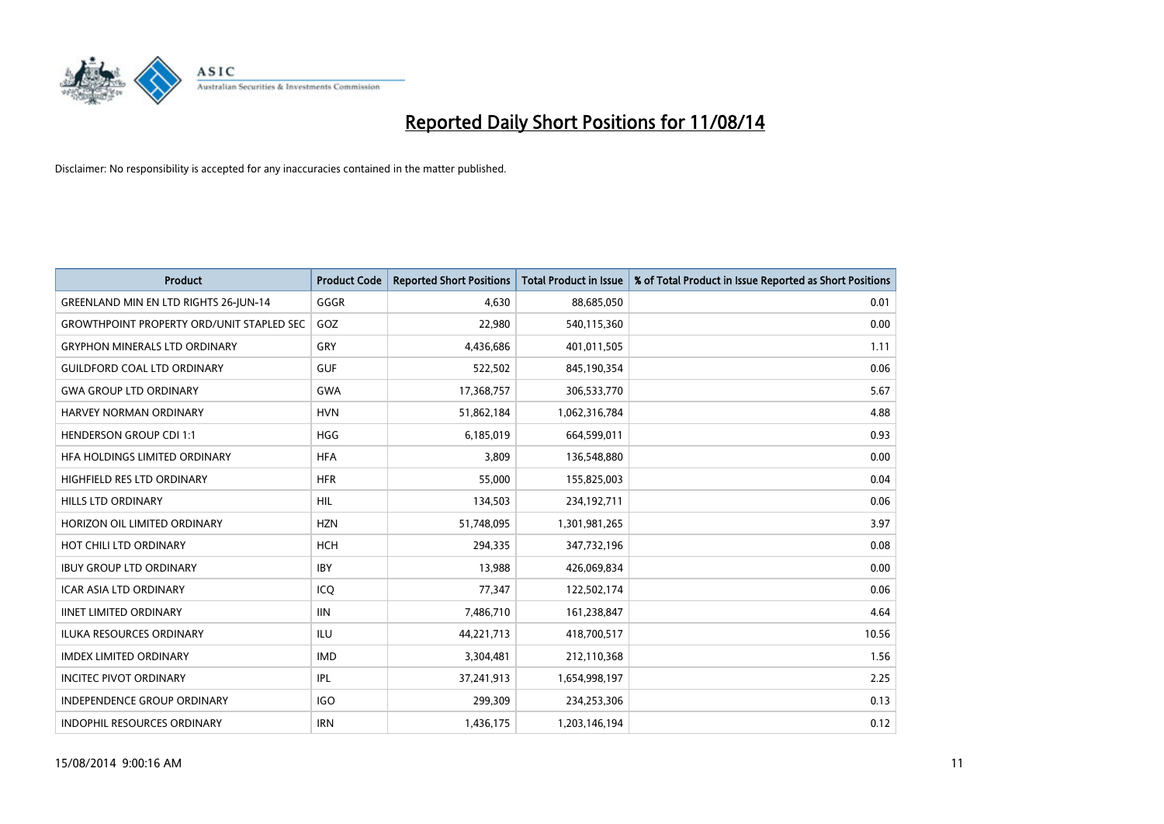

| <b>Product</b>                                   | <b>Product Code</b> | <b>Reported Short Positions</b> | <b>Total Product in Issue</b> | % of Total Product in Issue Reported as Short Positions |
|--------------------------------------------------|---------------------|---------------------------------|-------------------------------|---------------------------------------------------------|
| <b>GREENLAND MIN EN LTD RIGHTS 26-JUN-14</b>     | GGGR                | 4,630                           | 88,685,050                    | 0.01                                                    |
| <b>GROWTHPOINT PROPERTY ORD/UNIT STAPLED SEC</b> | GOZ                 | 22,980                          | 540,115,360                   | 0.00                                                    |
| <b>GRYPHON MINERALS LTD ORDINARY</b>             | GRY                 | 4,436,686                       | 401,011,505                   | 1.11                                                    |
| <b>GUILDFORD COAL LTD ORDINARY</b>               | <b>GUF</b>          | 522,502                         | 845,190,354                   | 0.06                                                    |
| <b>GWA GROUP LTD ORDINARY</b>                    | <b>GWA</b>          | 17,368,757                      | 306,533,770                   | 5.67                                                    |
| HARVEY NORMAN ORDINARY                           | <b>HVN</b>          | 51,862,184                      | 1,062,316,784                 | 4.88                                                    |
| <b>HENDERSON GROUP CDI 1:1</b>                   | <b>HGG</b>          | 6,185,019                       | 664,599,011                   | 0.93                                                    |
| HFA HOLDINGS LIMITED ORDINARY                    | <b>HFA</b>          | 3,809                           | 136,548,880                   | 0.00                                                    |
| HIGHFIELD RES LTD ORDINARY                       | <b>HFR</b>          | 55,000                          | 155,825,003                   | 0.04                                                    |
| <b>HILLS LTD ORDINARY</b>                        | <b>HIL</b>          | 134,503                         | 234,192,711                   | 0.06                                                    |
| HORIZON OIL LIMITED ORDINARY                     | <b>HZN</b>          | 51,748,095                      | 1,301,981,265                 | 3.97                                                    |
| HOT CHILI LTD ORDINARY                           | <b>HCH</b>          | 294,335                         | 347,732,196                   | 0.08                                                    |
| <b>IBUY GROUP LTD ORDINARY</b>                   | <b>IBY</b>          | 13,988                          | 426,069,834                   | 0.00                                                    |
| <b>ICAR ASIA LTD ORDINARY</b>                    | ICQ                 | 77,347                          | 122,502,174                   | 0.06                                                    |
| <b>IINET LIMITED ORDINARY</b>                    | <b>IIN</b>          | 7,486,710                       | 161,238,847                   | 4.64                                                    |
| <b>ILUKA RESOURCES ORDINARY</b>                  | <b>ILU</b>          | 44,221,713                      | 418,700,517                   | 10.56                                                   |
| <b>IMDEX LIMITED ORDINARY</b>                    | <b>IMD</b>          | 3,304,481                       | 212,110,368                   | 1.56                                                    |
| <b>INCITEC PIVOT ORDINARY</b>                    | IPL                 | 37,241,913                      | 1,654,998,197                 | 2.25                                                    |
| <b>INDEPENDENCE GROUP ORDINARY</b>               | <b>IGO</b>          | 299,309                         | 234,253,306                   | 0.13                                                    |
| <b>INDOPHIL RESOURCES ORDINARY</b>               | <b>IRN</b>          | 1,436,175                       | 1,203,146,194                 | 0.12                                                    |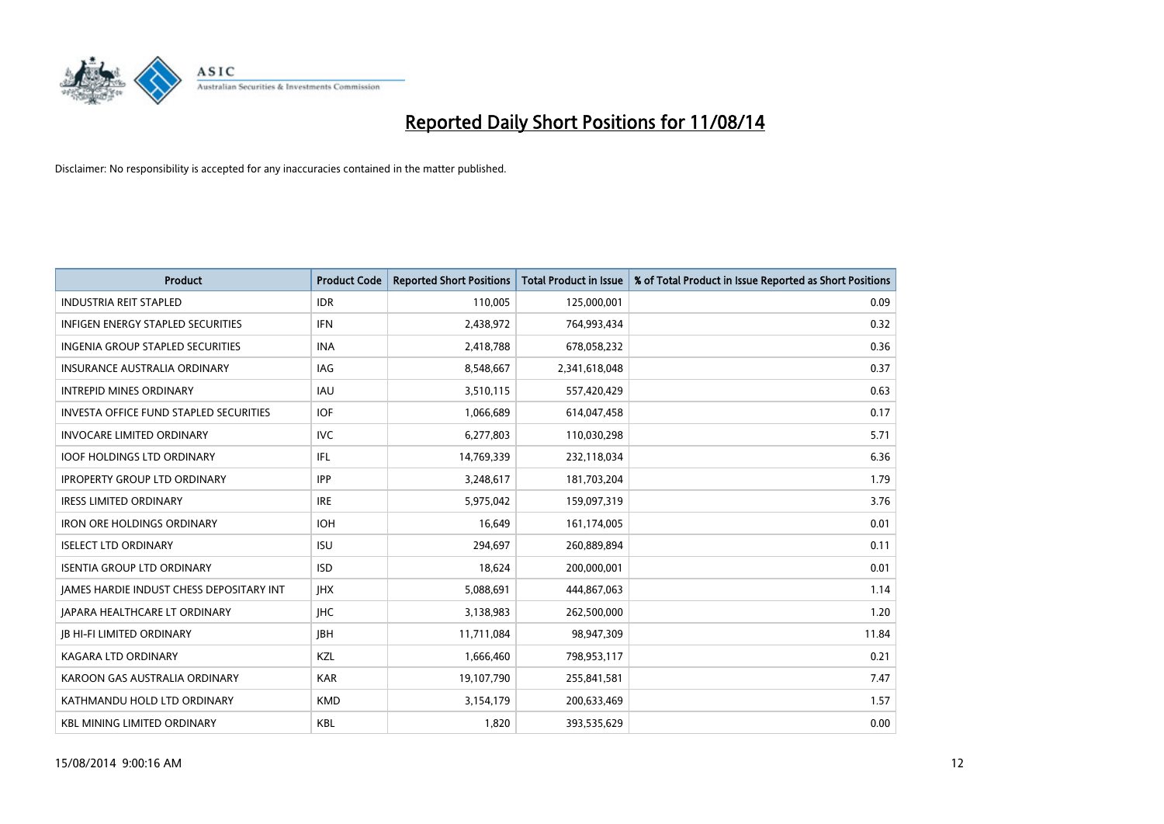

| <b>Product</b>                                | <b>Product Code</b> | <b>Reported Short Positions</b> | <b>Total Product in Issue</b> | % of Total Product in Issue Reported as Short Positions |
|-----------------------------------------------|---------------------|---------------------------------|-------------------------------|---------------------------------------------------------|
| <b>INDUSTRIA REIT STAPLED</b>                 | <b>IDR</b>          | 110,005                         | 125,000,001                   | 0.09                                                    |
| INFIGEN ENERGY STAPLED SECURITIES             | <b>IFN</b>          | 2,438,972                       | 764,993,434                   | 0.32                                                    |
| INGENIA GROUP STAPLED SECURITIES              | <b>INA</b>          | 2,418,788                       | 678,058,232                   | 0.36                                                    |
| <b>INSURANCE AUSTRALIA ORDINARY</b>           | IAG                 | 8,548,667                       | 2,341,618,048                 | 0.37                                                    |
| <b>INTREPID MINES ORDINARY</b>                | IAU                 | 3,510,115                       | 557,420,429                   | 0.63                                                    |
| <b>INVESTA OFFICE FUND STAPLED SECURITIES</b> | <b>IOF</b>          | 1,066,689                       | 614,047,458                   | 0.17                                                    |
| <b>INVOCARE LIMITED ORDINARY</b>              | <b>IVC</b>          | 6,277,803                       | 110,030,298                   | 5.71                                                    |
| <b>IOOF HOLDINGS LTD ORDINARY</b>             | <b>IFL</b>          | 14,769,339                      | 232,118,034                   | 6.36                                                    |
| <b>IPROPERTY GROUP LTD ORDINARY</b>           | <b>IPP</b>          | 3,248,617                       | 181,703,204                   | 1.79                                                    |
| <b>IRESS LIMITED ORDINARY</b>                 | <b>IRE</b>          | 5,975,042                       | 159,097,319                   | 3.76                                                    |
| <b>IRON ORE HOLDINGS ORDINARY</b>             | <b>IOH</b>          | 16,649                          | 161,174,005                   | 0.01                                                    |
| <b>ISELECT LTD ORDINARY</b>                   | <b>ISU</b>          | 294,697                         | 260,889,894                   | 0.11                                                    |
| <b>ISENTIA GROUP LTD ORDINARY</b>             | <b>ISD</b>          | 18,624                          | 200,000,001                   | 0.01                                                    |
| JAMES HARDIE INDUST CHESS DEPOSITARY INT      | <b>JHX</b>          | 5,088,691                       | 444,867,063                   | 1.14                                                    |
| <b>JAPARA HEALTHCARE LT ORDINARY</b>          | <b>IHC</b>          | 3,138,983                       | 262,500,000                   | 1.20                                                    |
| <b>JB HI-FI LIMITED ORDINARY</b>              | <b>IBH</b>          | 11,711,084                      | 98,947,309                    | 11.84                                                   |
| KAGARA LTD ORDINARY                           | KZL                 | 1,666,460                       | 798,953,117                   | 0.21                                                    |
| KAROON GAS AUSTRALIA ORDINARY                 | <b>KAR</b>          | 19,107,790                      | 255,841,581                   | 7.47                                                    |
| KATHMANDU HOLD LTD ORDINARY                   | <b>KMD</b>          | 3,154,179                       | 200,633,469                   | 1.57                                                    |
| <b>KBL MINING LIMITED ORDINARY</b>            | <b>KBL</b>          | 1,820                           | 393,535,629                   | 0.00                                                    |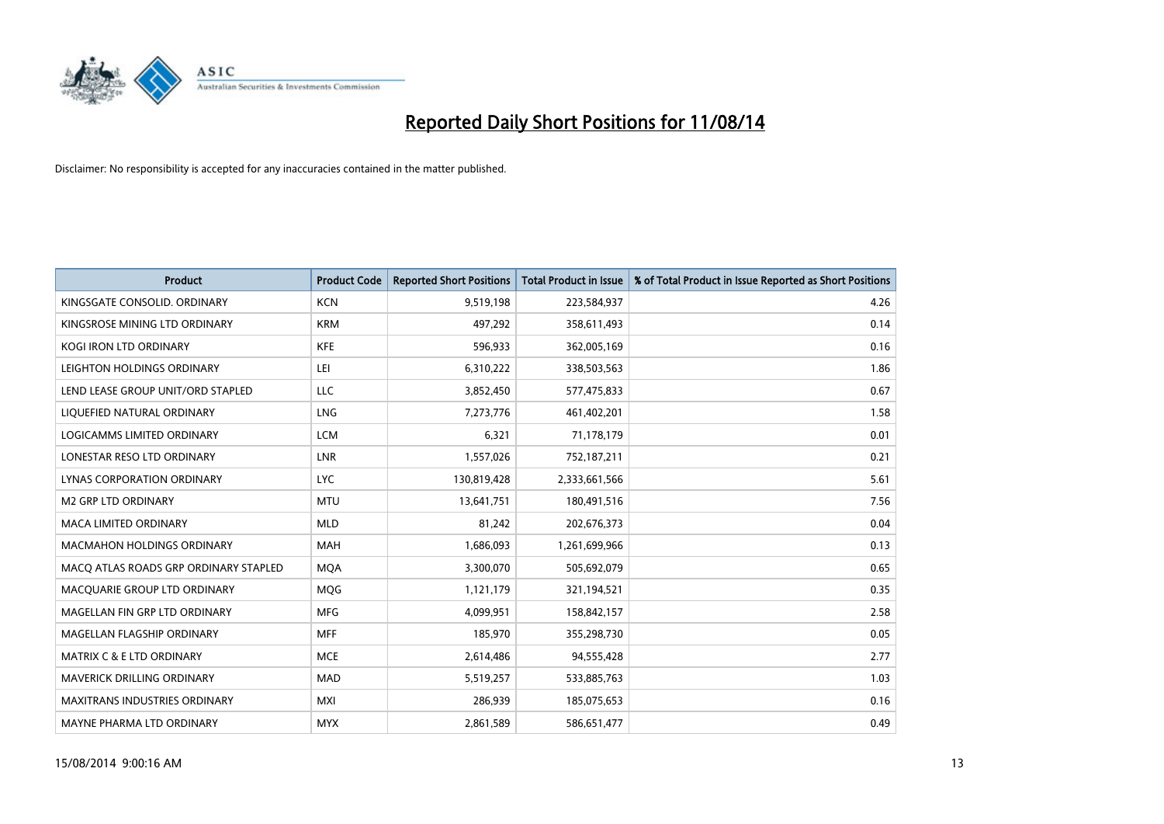

| <b>Product</b>                        | <b>Product Code</b> | <b>Reported Short Positions</b> | <b>Total Product in Issue</b> | % of Total Product in Issue Reported as Short Positions |
|---------------------------------------|---------------------|---------------------------------|-------------------------------|---------------------------------------------------------|
| KINGSGATE CONSOLID. ORDINARY          | <b>KCN</b>          | 9,519,198                       | 223,584,937                   | 4.26                                                    |
| KINGSROSE MINING LTD ORDINARY         | <b>KRM</b>          | 497,292                         | 358,611,493                   | 0.14                                                    |
| <b>KOGI IRON LTD ORDINARY</b>         | <b>KFE</b>          | 596,933                         | 362,005,169                   | 0.16                                                    |
| LEIGHTON HOLDINGS ORDINARY            | LEI                 | 6,310,222                       | 338,503,563                   | 1.86                                                    |
| LEND LEASE GROUP UNIT/ORD STAPLED     | LLC                 | 3,852,450                       | 577,475,833                   | 0.67                                                    |
| LIQUEFIED NATURAL ORDINARY            | LNG                 | 7,273,776                       | 461,402,201                   | 1.58                                                    |
| <b>LOGICAMMS LIMITED ORDINARY</b>     | <b>LCM</b>          | 6,321                           | 71,178,179                    | 0.01                                                    |
| LONESTAR RESO LTD ORDINARY            | <b>LNR</b>          | 1,557,026                       | 752,187,211                   | 0.21                                                    |
| LYNAS CORPORATION ORDINARY            | <b>LYC</b>          | 130,819,428                     | 2,333,661,566                 | 5.61                                                    |
| <b>M2 GRP LTD ORDINARY</b>            | <b>MTU</b>          | 13,641,751                      | 180,491,516                   | 7.56                                                    |
| <b>MACA LIMITED ORDINARY</b>          | <b>MLD</b>          | 81,242                          | 202,676,373                   | 0.04                                                    |
| MACMAHON HOLDINGS ORDINARY            | MAH                 | 1,686,093                       | 1,261,699,966                 | 0.13                                                    |
| MACO ATLAS ROADS GRP ORDINARY STAPLED | <b>MOA</b>          | 3,300,070                       | 505,692,079                   | 0.65                                                    |
| MACQUARIE GROUP LTD ORDINARY          | <b>MQG</b>          | 1,121,179                       | 321,194,521                   | 0.35                                                    |
| MAGELLAN FIN GRP LTD ORDINARY         | <b>MFG</b>          | 4,099,951                       | 158,842,157                   | 2.58                                                    |
| MAGELLAN FLAGSHIP ORDINARY            | <b>MFF</b>          | 185,970                         | 355,298,730                   | 0.05                                                    |
| <b>MATRIX C &amp; E LTD ORDINARY</b>  | <b>MCE</b>          | 2,614,486                       | 94,555,428                    | 2.77                                                    |
| MAVERICK DRILLING ORDINARY            | <b>MAD</b>          | 5,519,257                       | 533,885,763                   | 1.03                                                    |
| <b>MAXITRANS INDUSTRIES ORDINARY</b>  | <b>MXI</b>          | 286,939                         | 185,075,653                   | 0.16                                                    |
| MAYNE PHARMA LTD ORDINARY             | <b>MYX</b>          | 2,861,589                       | 586,651,477                   | 0.49                                                    |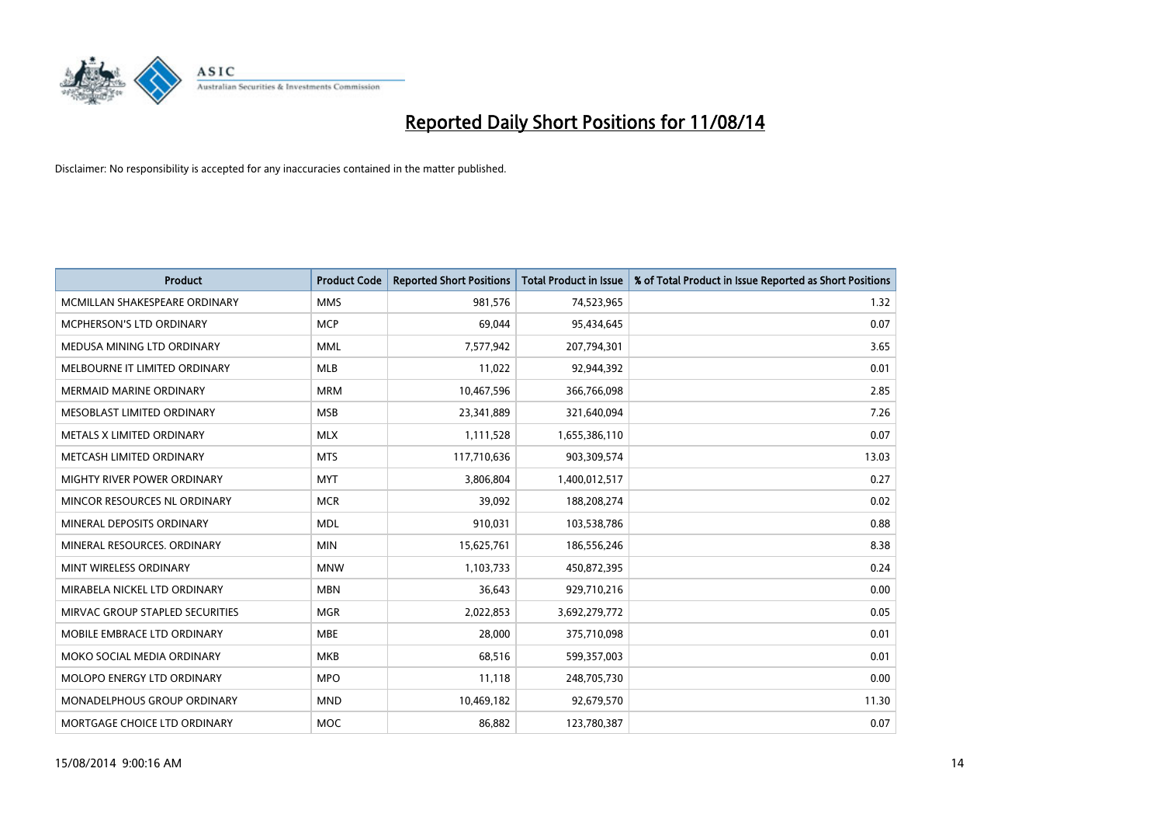

| <b>Product</b>                  | <b>Product Code</b> | <b>Reported Short Positions</b> | <b>Total Product in Issue</b> | % of Total Product in Issue Reported as Short Positions |
|---------------------------------|---------------------|---------------------------------|-------------------------------|---------------------------------------------------------|
| MCMILLAN SHAKESPEARE ORDINARY   | <b>MMS</b>          | 981,576                         | 74,523,965                    | 1.32                                                    |
| MCPHERSON'S LTD ORDINARY        | <b>MCP</b>          | 69,044                          | 95,434,645                    | 0.07                                                    |
| MEDUSA MINING LTD ORDINARY      | <b>MML</b>          | 7,577,942                       | 207,794,301                   | 3.65                                                    |
| MELBOURNE IT LIMITED ORDINARY   | <b>MLB</b>          | 11,022                          | 92,944,392                    | 0.01                                                    |
| <b>MERMAID MARINE ORDINARY</b>  | <b>MRM</b>          | 10,467,596                      | 366,766,098                   | 2.85                                                    |
| MESOBLAST LIMITED ORDINARY      | <b>MSB</b>          | 23,341,889                      | 321,640,094                   | 7.26                                                    |
| METALS X LIMITED ORDINARY       | <b>MLX</b>          | 1,111,528                       | 1,655,386,110                 | 0.07                                                    |
| METCASH LIMITED ORDINARY        | <b>MTS</b>          | 117,710,636                     | 903,309,574                   | 13.03                                                   |
| MIGHTY RIVER POWER ORDINARY     | <b>MYT</b>          | 3,806,804                       | 1,400,012,517                 | 0.27                                                    |
| MINCOR RESOURCES NL ORDINARY    | <b>MCR</b>          | 39,092                          | 188,208,274                   | 0.02                                                    |
| MINERAL DEPOSITS ORDINARY       | <b>MDL</b>          | 910,031                         | 103,538,786                   | 0.88                                                    |
| MINERAL RESOURCES. ORDINARY     | <b>MIN</b>          | 15,625,761                      | 186,556,246                   | 8.38                                                    |
| MINT WIRELESS ORDINARY          | <b>MNW</b>          | 1,103,733                       | 450,872,395                   | 0.24                                                    |
| MIRABELA NICKEL LTD ORDINARY    | <b>MBN</b>          | 36,643                          | 929,710,216                   | 0.00                                                    |
| MIRVAC GROUP STAPLED SECURITIES | <b>MGR</b>          | 2,022,853                       | 3,692,279,772                 | 0.05                                                    |
| MOBILE EMBRACE LTD ORDINARY     | <b>MBE</b>          | 28,000                          | 375,710,098                   | 0.01                                                    |
| MOKO SOCIAL MEDIA ORDINARY      | MKB                 | 68,516                          | 599,357,003                   | 0.01                                                    |
| MOLOPO ENERGY LTD ORDINARY      | <b>MPO</b>          | 11,118                          | 248,705,730                   | 0.00                                                    |
| MONADELPHOUS GROUP ORDINARY     | <b>MND</b>          | 10,469,182                      | 92,679,570                    | 11.30                                                   |
| MORTGAGE CHOICE LTD ORDINARY    | <b>MOC</b>          | 86,882                          | 123,780,387                   | 0.07                                                    |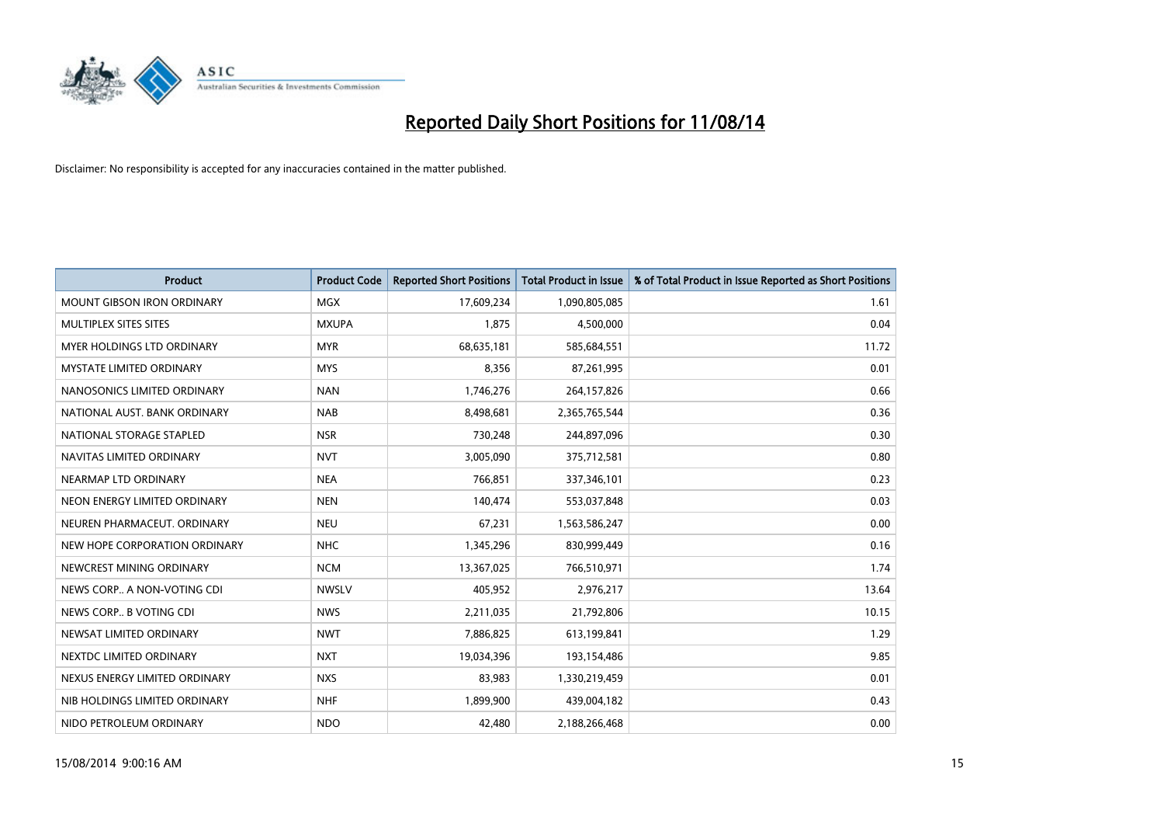

| <b>Product</b>                    | <b>Product Code</b> | <b>Reported Short Positions</b> | <b>Total Product in Issue</b> | % of Total Product in Issue Reported as Short Positions |
|-----------------------------------|---------------------|---------------------------------|-------------------------------|---------------------------------------------------------|
| <b>MOUNT GIBSON IRON ORDINARY</b> | <b>MGX</b>          | 17,609,234                      | 1,090,805,085                 | 1.61                                                    |
| MULTIPLEX SITES SITES             | <b>MXUPA</b>        | 1,875                           | 4,500,000                     | 0.04                                                    |
| MYER HOLDINGS LTD ORDINARY        | <b>MYR</b>          | 68,635,181                      | 585,684,551                   | 11.72                                                   |
| MYSTATE LIMITED ORDINARY          | <b>MYS</b>          | 8,356                           | 87,261,995                    | 0.01                                                    |
| NANOSONICS LIMITED ORDINARY       | <b>NAN</b>          | 1,746,276                       | 264,157,826                   | 0.66                                                    |
| NATIONAL AUST, BANK ORDINARY      | <b>NAB</b>          | 8,498,681                       | 2,365,765,544                 | 0.36                                                    |
| NATIONAL STORAGE STAPLED          | <b>NSR</b>          | 730,248                         | 244,897,096                   | 0.30                                                    |
| NAVITAS LIMITED ORDINARY          | <b>NVT</b>          | 3,005,090                       | 375,712,581                   | 0.80                                                    |
| NEARMAP LTD ORDINARY              | <b>NEA</b>          | 766,851                         | 337,346,101                   | 0.23                                                    |
| NEON ENERGY LIMITED ORDINARY      | <b>NEN</b>          | 140,474                         | 553,037,848                   | 0.03                                                    |
| NEUREN PHARMACEUT, ORDINARY       | <b>NEU</b>          | 67,231                          | 1,563,586,247                 | 0.00                                                    |
| NEW HOPE CORPORATION ORDINARY     | <b>NHC</b>          | 1,345,296                       | 830,999,449                   | 0.16                                                    |
| NEWCREST MINING ORDINARY          | <b>NCM</b>          | 13,367,025                      | 766,510,971                   | 1.74                                                    |
| NEWS CORP A NON-VOTING CDI        | <b>NWSLV</b>        | 405,952                         | 2,976,217                     | 13.64                                                   |
| NEWS CORP B VOTING CDI            | <b>NWS</b>          | 2,211,035                       | 21,792,806                    | 10.15                                                   |
| NEWSAT LIMITED ORDINARY           | <b>NWT</b>          | 7,886,825                       | 613,199,841                   | 1.29                                                    |
| NEXTDC LIMITED ORDINARY           | <b>NXT</b>          | 19,034,396                      | 193,154,486                   | 9.85                                                    |
| NEXUS ENERGY LIMITED ORDINARY     | <b>NXS</b>          | 83,983                          | 1,330,219,459                 | 0.01                                                    |
| NIB HOLDINGS LIMITED ORDINARY     | <b>NHF</b>          | 1,899,900                       | 439,004,182                   | 0.43                                                    |
| NIDO PETROLEUM ORDINARY           | <b>NDO</b>          | 42,480                          | 2,188,266,468                 | 0.00                                                    |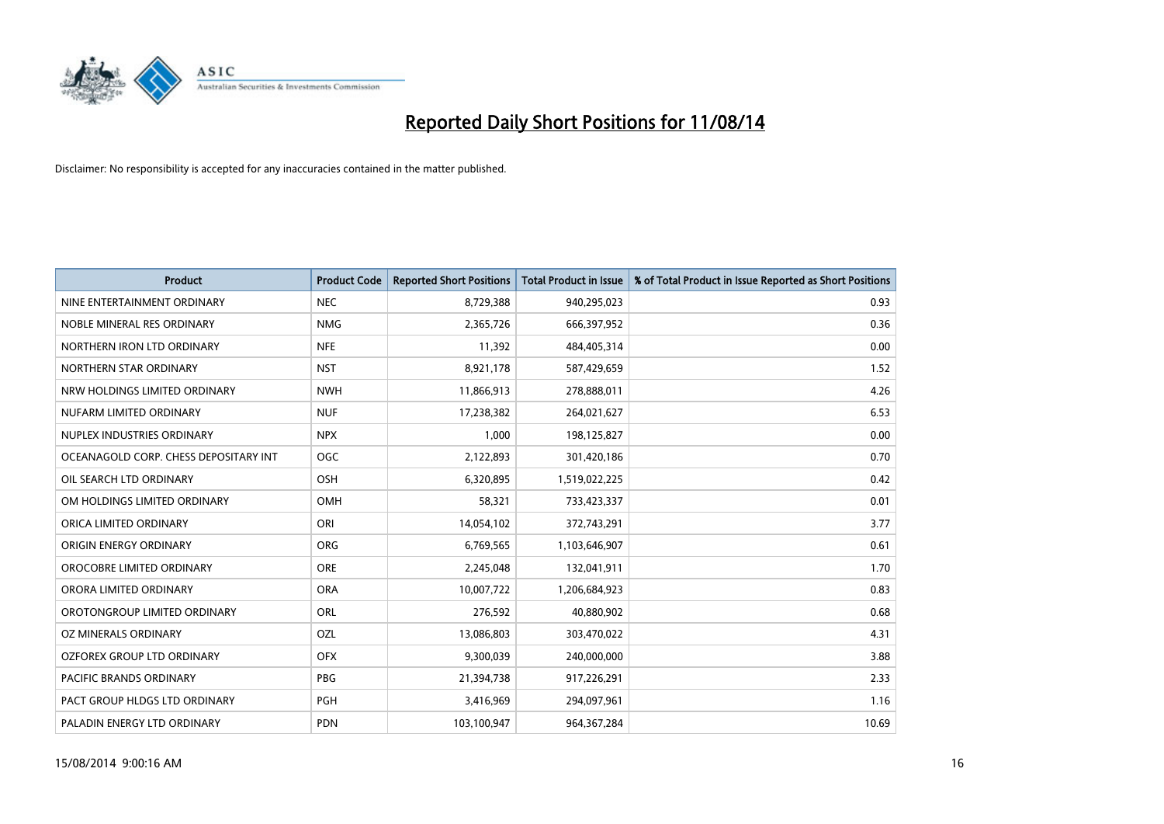

| <b>Product</b>                        | <b>Product Code</b> | <b>Reported Short Positions</b> | <b>Total Product in Issue</b> | % of Total Product in Issue Reported as Short Positions |
|---------------------------------------|---------------------|---------------------------------|-------------------------------|---------------------------------------------------------|
| NINE ENTERTAINMENT ORDINARY           | <b>NEC</b>          | 8,729,388                       | 940,295,023                   | 0.93                                                    |
| NOBLE MINERAL RES ORDINARY            | <b>NMG</b>          | 2,365,726                       | 666,397,952                   | 0.36                                                    |
| NORTHERN IRON LTD ORDINARY            | <b>NFE</b>          | 11,392                          | 484,405,314                   | 0.00                                                    |
| NORTHERN STAR ORDINARY                | <b>NST</b>          | 8,921,178                       | 587,429,659                   | 1.52                                                    |
| NRW HOLDINGS LIMITED ORDINARY         | <b>NWH</b>          | 11,866,913                      | 278,888,011                   | 4.26                                                    |
| NUFARM LIMITED ORDINARY               | <b>NUF</b>          | 17,238,382                      | 264,021,627                   | 6.53                                                    |
| NUPLEX INDUSTRIES ORDINARY            | <b>NPX</b>          | 1,000                           | 198,125,827                   | 0.00                                                    |
| OCEANAGOLD CORP. CHESS DEPOSITARY INT | <b>OGC</b>          | 2,122,893                       | 301,420,186                   | 0.70                                                    |
| OIL SEARCH LTD ORDINARY               | OSH                 | 6,320,895                       | 1,519,022,225                 | 0.42                                                    |
| OM HOLDINGS LIMITED ORDINARY          | <b>OMH</b>          | 58,321                          | 733,423,337                   | 0.01                                                    |
| ORICA LIMITED ORDINARY                | ORI                 | 14,054,102                      | 372,743,291                   | 3.77                                                    |
| ORIGIN ENERGY ORDINARY                | <b>ORG</b>          | 6,769,565                       | 1,103,646,907                 | 0.61                                                    |
| OROCOBRE LIMITED ORDINARY             | <b>ORE</b>          | 2,245,048                       | 132,041,911                   | 1.70                                                    |
| ORORA LIMITED ORDINARY                | <b>ORA</b>          | 10,007,722                      | 1,206,684,923                 | 0.83                                                    |
| OROTONGROUP LIMITED ORDINARY          | ORL                 | 276,592                         | 40,880,902                    | 0.68                                                    |
| OZ MINERALS ORDINARY                  | OZL                 | 13,086,803                      | 303,470,022                   | 4.31                                                    |
| OZFOREX GROUP LTD ORDINARY            | <b>OFX</b>          | 9,300,039                       | 240,000,000                   | 3.88                                                    |
| <b>PACIFIC BRANDS ORDINARY</b>        | <b>PBG</b>          | 21,394,738                      | 917,226,291                   | 2.33                                                    |
| PACT GROUP HLDGS LTD ORDINARY         | <b>PGH</b>          | 3,416,969                       | 294,097,961                   | 1.16                                                    |
| PALADIN ENERGY LTD ORDINARY           | <b>PDN</b>          | 103,100,947                     | 964, 367, 284                 | 10.69                                                   |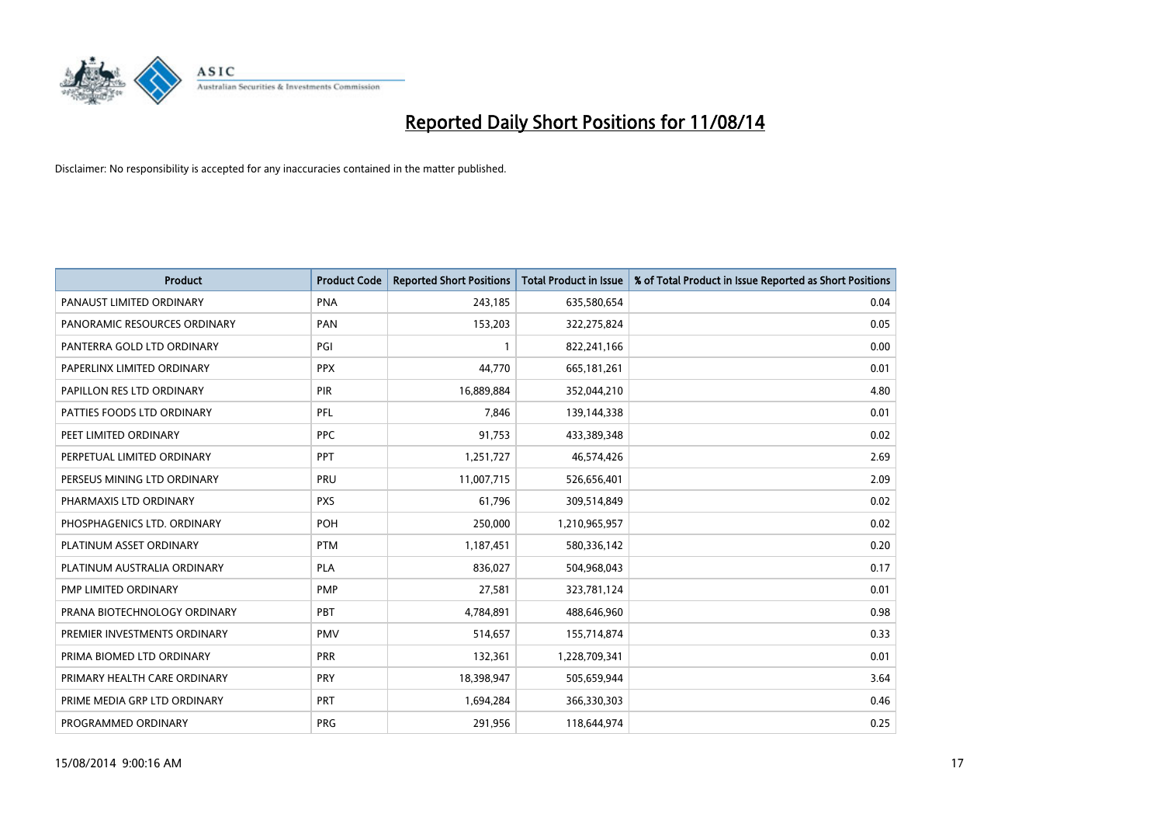

| <b>Product</b>               | <b>Product Code</b> | <b>Reported Short Positions</b> | <b>Total Product in Issue</b> | % of Total Product in Issue Reported as Short Positions |
|------------------------------|---------------------|---------------------------------|-------------------------------|---------------------------------------------------------|
| PANAUST LIMITED ORDINARY     | <b>PNA</b>          | 243,185                         | 635,580,654                   | 0.04                                                    |
| PANORAMIC RESOURCES ORDINARY | <b>PAN</b>          | 153,203                         | 322,275,824                   | 0.05                                                    |
| PANTERRA GOLD LTD ORDINARY   | PGI                 | $\mathbf{1}$                    | 822,241,166                   | 0.00                                                    |
| PAPERLINX LIMITED ORDINARY   | <b>PPX</b>          | 44,770                          | 665,181,261                   | 0.01                                                    |
| PAPILLON RES LTD ORDINARY    | PIR                 | 16,889,884                      | 352,044,210                   | 4.80                                                    |
| PATTIES FOODS LTD ORDINARY   | PFL                 | 7,846                           | 139,144,338                   | 0.01                                                    |
| PEET LIMITED ORDINARY        | <b>PPC</b>          | 91,753                          | 433,389,348                   | 0.02                                                    |
| PERPETUAL LIMITED ORDINARY   | PPT                 | 1,251,727                       | 46,574,426                    | 2.69                                                    |
| PERSEUS MINING LTD ORDINARY  | PRU                 | 11,007,715                      | 526,656,401                   | 2.09                                                    |
| PHARMAXIS LTD ORDINARY       | <b>PXS</b>          | 61,796                          | 309,514,849                   | 0.02                                                    |
| PHOSPHAGENICS LTD. ORDINARY  | POH                 | 250,000                         | 1,210,965,957                 | 0.02                                                    |
| PLATINUM ASSET ORDINARY      | <b>PTM</b>          | 1,187,451                       | 580,336,142                   | 0.20                                                    |
| PLATINUM AUSTRALIA ORDINARY  | <b>PLA</b>          | 836,027                         | 504,968,043                   | 0.17                                                    |
| PMP LIMITED ORDINARY         | <b>PMP</b>          | 27,581                          | 323,781,124                   | 0.01                                                    |
| PRANA BIOTECHNOLOGY ORDINARY | <b>PBT</b>          | 4,784,891                       | 488,646,960                   | 0.98                                                    |
| PREMIER INVESTMENTS ORDINARY | <b>PMV</b>          | 514,657                         | 155,714,874                   | 0.33                                                    |
| PRIMA BIOMED LTD ORDINARY    | <b>PRR</b>          | 132,361                         | 1,228,709,341                 | 0.01                                                    |
| PRIMARY HEALTH CARE ORDINARY | PRY                 | 18,398,947                      | 505,659,944                   | 3.64                                                    |
| PRIME MEDIA GRP LTD ORDINARY | <b>PRT</b>          | 1,694,284                       | 366,330,303                   | 0.46                                                    |
| PROGRAMMED ORDINARY          | <b>PRG</b>          | 291,956                         | 118,644,974                   | 0.25                                                    |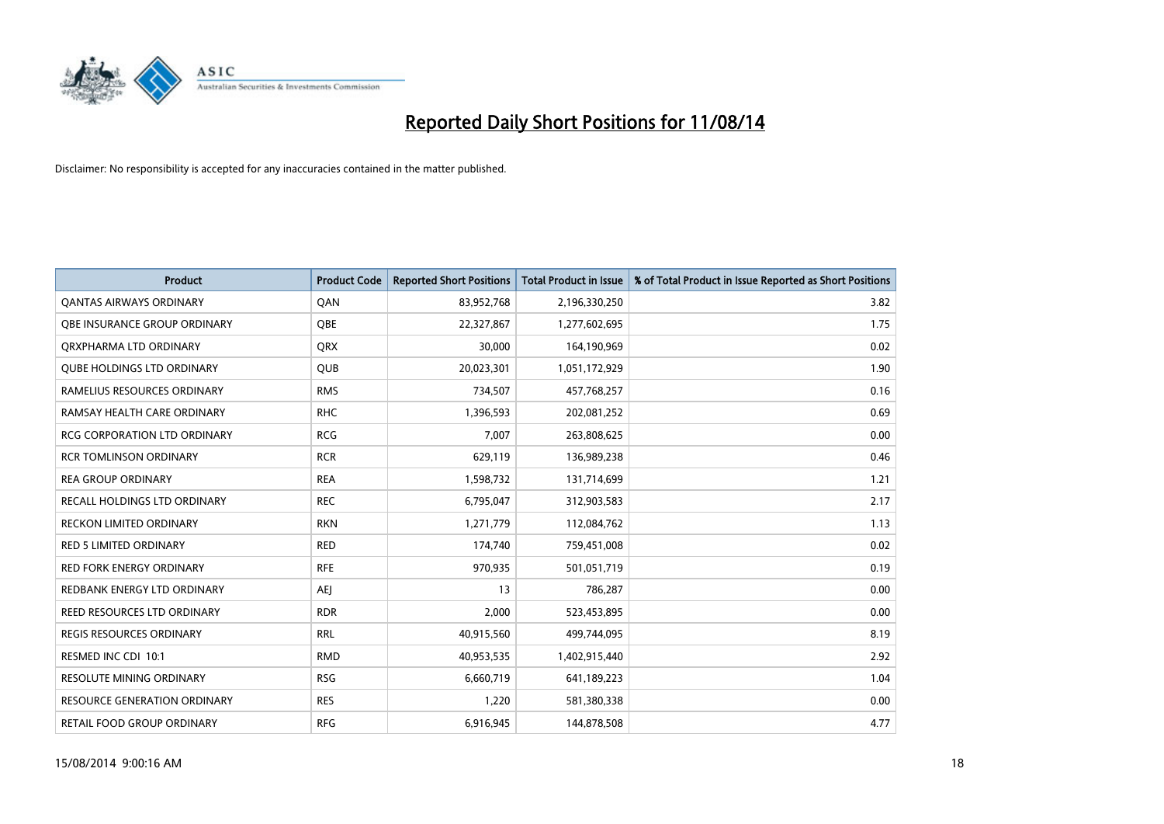

| <b>Product</b>                      | <b>Product Code</b> | <b>Reported Short Positions</b> | <b>Total Product in Issue</b> | % of Total Product in Issue Reported as Short Positions |
|-------------------------------------|---------------------|---------------------------------|-------------------------------|---------------------------------------------------------|
| <b>QANTAS AIRWAYS ORDINARY</b>      | QAN                 | 83,952,768                      | 2,196,330,250                 | 3.82                                                    |
| OBE INSURANCE GROUP ORDINARY        | QBE                 | 22,327,867                      | 1,277,602,695                 | 1.75                                                    |
| ORXPHARMA LTD ORDINARY              | <b>QRX</b>          | 30,000                          | 164,190,969                   | 0.02                                                    |
| <b>QUBE HOLDINGS LTD ORDINARY</b>   | <b>QUB</b>          | 20,023,301                      | 1,051,172,929                 | 1.90                                                    |
| RAMELIUS RESOURCES ORDINARY         | <b>RMS</b>          | 734,507                         | 457,768,257                   | 0.16                                                    |
| RAMSAY HEALTH CARE ORDINARY         | <b>RHC</b>          | 1,396,593                       | 202,081,252                   | 0.69                                                    |
| <b>RCG CORPORATION LTD ORDINARY</b> | <b>RCG</b>          | 7,007                           | 263,808,625                   | 0.00                                                    |
| <b>RCR TOMLINSON ORDINARY</b>       | <b>RCR</b>          | 629,119                         | 136,989,238                   | 0.46                                                    |
| <b>REA GROUP ORDINARY</b>           | <b>REA</b>          | 1,598,732                       | 131,714,699                   | 1.21                                                    |
| <b>RECALL HOLDINGS LTD ORDINARY</b> | <b>REC</b>          | 6,795,047                       | 312,903,583                   | 2.17                                                    |
| RECKON LIMITED ORDINARY             | <b>RKN</b>          | 1,271,779                       | 112,084,762                   | 1.13                                                    |
| RED 5 LIMITED ORDINARY              | <b>RED</b>          | 174,740                         | 759,451,008                   | 0.02                                                    |
| <b>RED FORK ENERGY ORDINARY</b>     | <b>RFE</b>          | 970,935                         | 501,051,719                   | 0.19                                                    |
| REDBANK ENERGY LTD ORDINARY         | AEJ                 | 13                              | 786,287                       | 0.00                                                    |
| REED RESOURCES LTD ORDINARY         | <b>RDR</b>          | 2,000                           | 523,453,895                   | 0.00                                                    |
| <b>REGIS RESOURCES ORDINARY</b>     | <b>RRL</b>          | 40,915,560                      | 499,744,095                   | 8.19                                                    |
| RESMED INC CDI 10:1                 | <b>RMD</b>          | 40,953,535                      | 1,402,915,440                 | 2.92                                                    |
| RESOLUTE MINING ORDINARY            | <b>RSG</b>          | 6,660,719                       | 641,189,223                   | 1.04                                                    |
| <b>RESOURCE GENERATION ORDINARY</b> | <b>RES</b>          | 1,220                           | 581,380,338                   | 0.00                                                    |
| RETAIL FOOD GROUP ORDINARY          | <b>RFG</b>          | 6,916,945                       | 144,878,508                   | 4.77                                                    |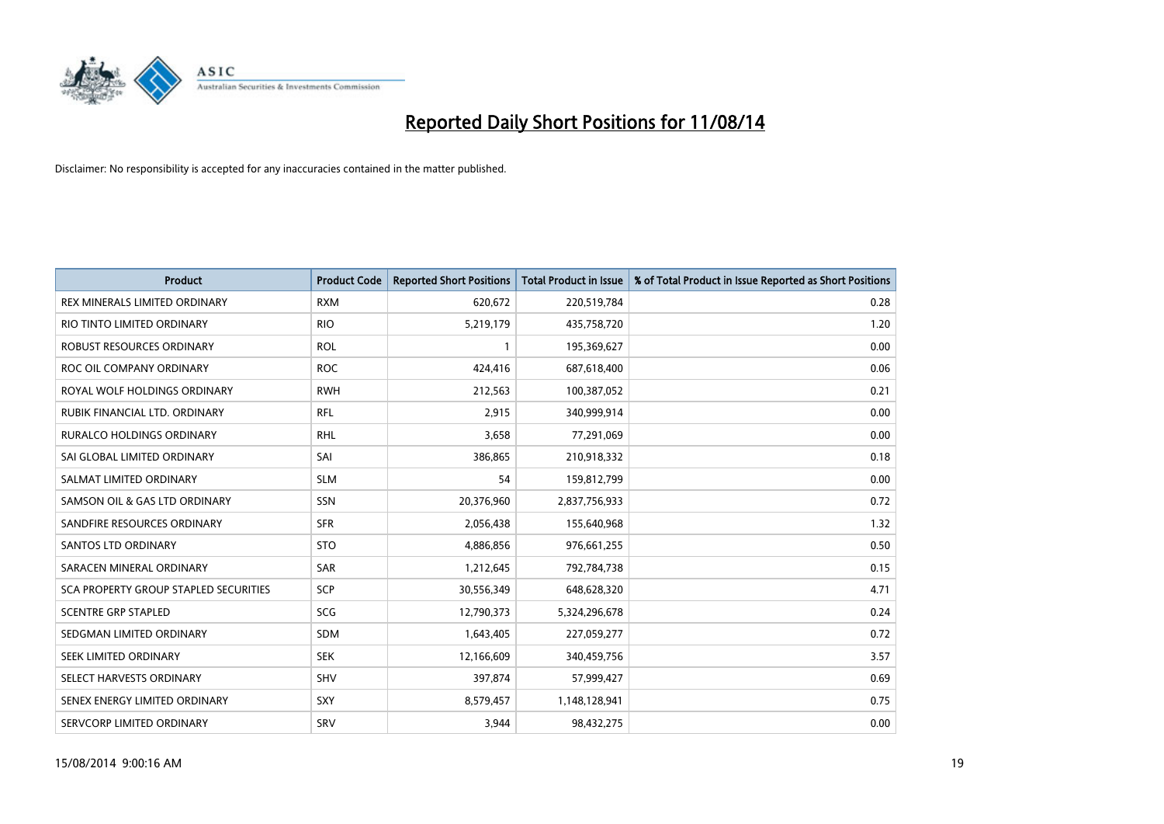

| <b>Product</b>                        | <b>Product Code</b> | <b>Reported Short Positions</b> | <b>Total Product in Issue</b> | % of Total Product in Issue Reported as Short Positions |
|---------------------------------------|---------------------|---------------------------------|-------------------------------|---------------------------------------------------------|
| REX MINERALS LIMITED ORDINARY         | <b>RXM</b>          | 620,672                         | 220,519,784                   | 0.28                                                    |
| RIO TINTO LIMITED ORDINARY            | <b>RIO</b>          | 5,219,179                       | 435,758,720                   | 1.20                                                    |
| ROBUST RESOURCES ORDINARY             | <b>ROL</b>          | $\mathbf{1}$                    | 195,369,627                   | 0.00                                                    |
| ROC OIL COMPANY ORDINARY              | <b>ROC</b>          | 424,416                         | 687,618,400                   | 0.06                                                    |
| ROYAL WOLF HOLDINGS ORDINARY          | <b>RWH</b>          | 212,563                         | 100,387,052                   | 0.21                                                    |
| RUBIK FINANCIAL LTD. ORDINARY         | <b>RFL</b>          | 2,915                           | 340,999,914                   | 0.00                                                    |
| <b>RURALCO HOLDINGS ORDINARY</b>      | <b>RHL</b>          | 3,658                           | 77,291,069                    | 0.00                                                    |
| SAI GLOBAL LIMITED ORDINARY           | SAI                 | 386,865                         | 210,918,332                   | 0.18                                                    |
| SALMAT LIMITED ORDINARY               | <b>SLM</b>          | 54                              | 159,812,799                   | 0.00                                                    |
| SAMSON OIL & GAS LTD ORDINARY         | SSN                 | 20,376,960                      | 2,837,756,933                 | 0.72                                                    |
| SANDFIRE RESOURCES ORDINARY           | <b>SFR</b>          | 2,056,438                       | 155,640,968                   | 1.32                                                    |
| <b>SANTOS LTD ORDINARY</b>            | <b>STO</b>          | 4,886,856                       | 976,661,255                   | 0.50                                                    |
| SARACEN MINERAL ORDINARY              | SAR                 | 1,212,645                       | 792,784,738                   | 0.15                                                    |
| SCA PROPERTY GROUP STAPLED SECURITIES | SCP                 | 30,556,349                      | 648,628,320                   | 4.71                                                    |
| <b>SCENTRE GRP STAPLED</b>            | <b>SCG</b>          | 12,790,373                      | 5,324,296,678                 | 0.24                                                    |
| SEDGMAN LIMITED ORDINARY              | SDM                 | 1,643,405                       | 227,059,277                   | 0.72                                                    |
| SEEK LIMITED ORDINARY                 | <b>SEK</b>          | 12,166,609                      | 340,459,756                   | 3.57                                                    |
| SELECT HARVESTS ORDINARY              | <b>SHV</b>          | 397,874                         | 57,999,427                    | 0.69                                                    |
| SENEX ENERGY LIMITED ORDINARY         | <b>SXY</b>          | 8,579,457                       | 1,148,128,941                 | 0.75                                                    |
| SERVCORP LIMITED ORDINARY             | SRV                 | 3,944                           | 98,432,275                    | 0.00                                                    |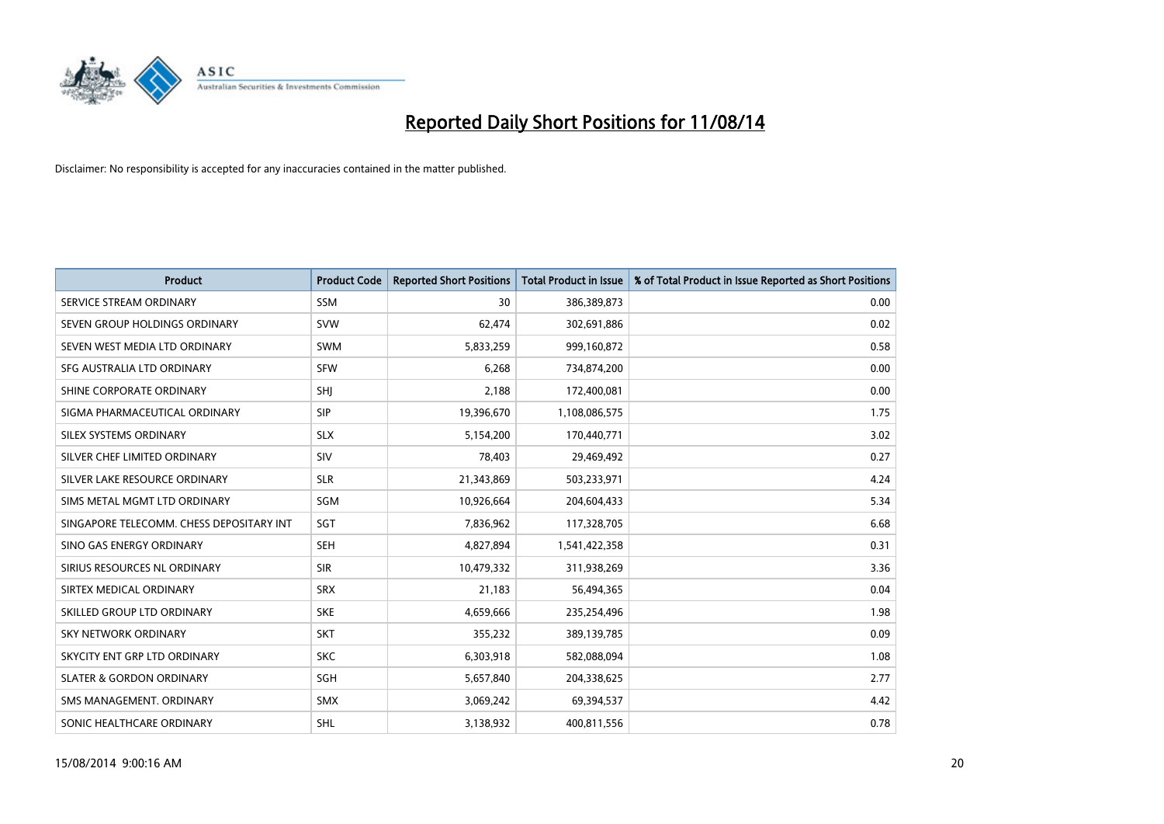

| <b>Product</b>                           | <b>Product Code</b> | <b>Reported Short Positions</b> | <b>Total Product in Issue</b> | % of Total Product in Issue Reported as Short Positions |
|------------------------------------------|---------------------|---------------------------------|-------------------------------|---------------------------------------------------------|
| SERVICE STREAM ORDINARY                  | SSM                 | 30                              | 386,389,873                   | 0.00                                                    |
| SEVEN GROUP HOLDINGS ORDINARY            | <b>SVW</b>          | 62.474                          | 302,691,886                   | 0.02                                                    |
| SEVEN WEST MEDIA LTD ORDINARY            | <b>SWM</b>          | 5,833,259                       | 999,160,872                   | 0.58                                                    |
| SFG AUSTRALIA LTD ORDINARY               | <b>SFW</b>          | 6,268                           | 734,874,200                   | 0.00                                                    |
| SHINE CORPORATE ORDINARY                 | SHI                 | 2,188                           | 172,400,081                   | 0.00                                                    |
| SIGMA PHARMACEUTICAL ORDINARY            | <b>SIP</b>          | 19,396,670                      | 1,108,086,575                 | 1.75                                                    |
| SILEX SYSTEMS ORDINARY                   | <b>SLX</b>          | 5,154,200                       | 170,440,771                   | 3.02                                                    |
| SILVER CHEF LIMITED ORDINARY             | SIV                 | 78,403                          | 29,469,492                    | 0.27                                                    |
| SILVER LAKE RESOURCE ORDINARY            | <b>SLR</b>          | 21,343,869                      | 503,233,971                   | 4.24                                                    |
| SIMS METAL MGMT LTD ORDINARY             | SGM                 | 10,926,664                      | 204,604,433                   | 5.34                                                    |
| SINGAPORE TELECOMM. CHESS DEPOSITARY INT | SGT                 | 7,836,962                       | 117,328,705                   | 6.68                                                    |
| SINO GAS ENERGY ORDINARY                 | <b>SEH</b>          | 4,827,894                       | 1,541,422,358                 | 0.31                                                    |
| SIRIUS RESOURCES NL ORDINARY             | <b>SIR</b>          | 10,479,332                      | 311,938,269                   | 3.36                                                    |
| SIRTEX MEDICAL ORDINARY                  | <b>SRX</b>          | 21,183                          | 56,494,365                    | 0.04                                                    |
| SKILLED GROUP LTD ORDINARY               | <b>SKE</b>          | 4,659,666                       | 235,254,496                   | 1.98                                                    |
| <b>SKY NETWORK ORDINARY</b>              | <b>SKT</b>          | 355,232                         | 389,139,785                   | 0.09                                                    |
| SKYCITY ENT GRP LTD ORDINARY             | <b>SKC</b>          | 6,303,918                       | 582,088,094                   | 1.08                                                    |
| <b>SLATER &amp; GORDON ORDINARY</b>      | SGH                 | 5,657,840                       | 204,338,625                   | 2.77                                                    |
| SMS MANAGEMENT, ORDINARY                 | <b>SMX</b>          | 3,069,242                       | 69,394,537                    | 4.42                                                    |
| SONIC HEALTHCARE ORDINARY                | <b>SHL</b>          | 3,138,932                       | 400,811,556                   | 0.78                                                    |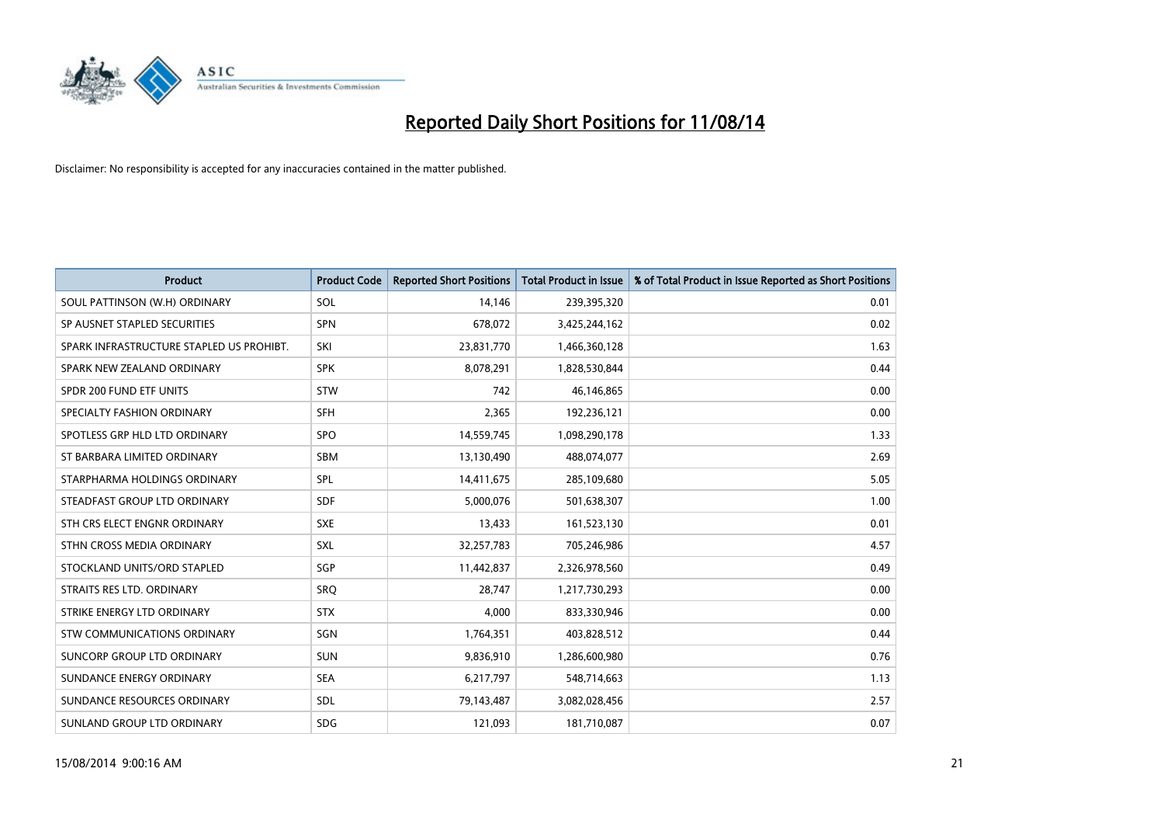

| <b>Product</b>                           | <b>Product Code</b> | <b>Reported Short Positions</b> | <b>Total Product in Issue</b> | % of Total Product in Issue Reported as Short Positions |
|------------------------------------------|---------------------|---------------------------------|-------------------------------|---------------------------------------------------------|
| SOUL PATTINSON (W.H) ORDINARY            | SOL                 | 14,146                          | 239,395,320                   | 0.01                                                    |
| SP AUSNET STAPLED SECURITIES             | <b>SPN</b>          | 678,072                         | 3,425,244,162                 | 0.02                                                    |
| SPARK INFRASTRUCTURE STAPLED US PROHIBT. | SKI                 | 23,831,770                      | 1,466,360,128                 | 1.63                                                    |
| SPARK NEW ZEALAND ORDINARY               | <b>SPK</b>          | 8,078,291                       | 1,828,530,844                 | 0.44                                                    |
| SPDR 200 FUND ETF UNITS                  | <b>STW</b>          | 742                             | 46,146,865                    | 0.00                                                    |
| SPECIALTY FASHION ORDINARY               | <b>SFH</b>          | 2,365                           | 192,236,121                   | 0.00                                                    |
| SPOTLESS GRP HLD LTD ORDINARY            | <b>SPO</b>          | 14,559,745                      | 1,098,290,178                 | 1.33                                                    |
| ST BARBARA LIMITED ORDINARY              | SBM                 | 13,130,490                      | 488,074,077                   | 2.69                                                    |
| STARPHARMA HOLDINGS ORDINARY             | SPL                 | 14,411,675                      | 285,109,680                   | 5.05                                                    |
| STEADFAST GROUP LTD ORDINARY             | <b>SDF</b>          | 5,000,076                       | 501,638,307                   | 1.00                                                    |
| STH CRS ELECT ENGNR ORDINARY             | <b>SXE</b>          | 13,433                          | 161,523,130                   | 0.01                                                    |
| STHN CROSS MEDIA ORDINARY                | <b>SXL</b>          | 32,257,783                      | 705,246,986                   | 4.57                                                    |
| STOCKLAND UNITS/ORD STAPLED              | SGP                 | 11,442,837                      | 2,326,978,560                 | 0.49                                                    |
| STRAITS RES LTD. ORDINARY                | SRO                 | 28,747                          | 1,217,730,293                 | 0.00                                                    |
| STRIKE ENERGY LTD ORDINARY               | <b>STX</b>          | 4.000                           | 833,330,946                   | 0.00                                                    |
| STW COMMUNICATIONS ORDINARY              | SGN                 | 1,764,351                       | 403,828,512                   | 0.44                                                    |
| SUNCORP GROUP LTD ORDINARY               | <b>SUN</b>          | 9,836,910                       | 1,286,600,980                 | 0.76                                                    |
| SUNDANCE ENERGY ORDINARY                 | <b>SEA</b>          | 6,217,797                       | 548,714,663                   | 1.13                                                    |
| SUNDANCE RESOURCES ORDINARY              | SDL                 | 79,143,487                      | 3,082,028,456                 | 2.57                                                    |
| SUNLAND GROUP LTD ORDINARY               | <b>SDG</b>          | 121,093                         | 181,710,087                   | 0.07                                                    |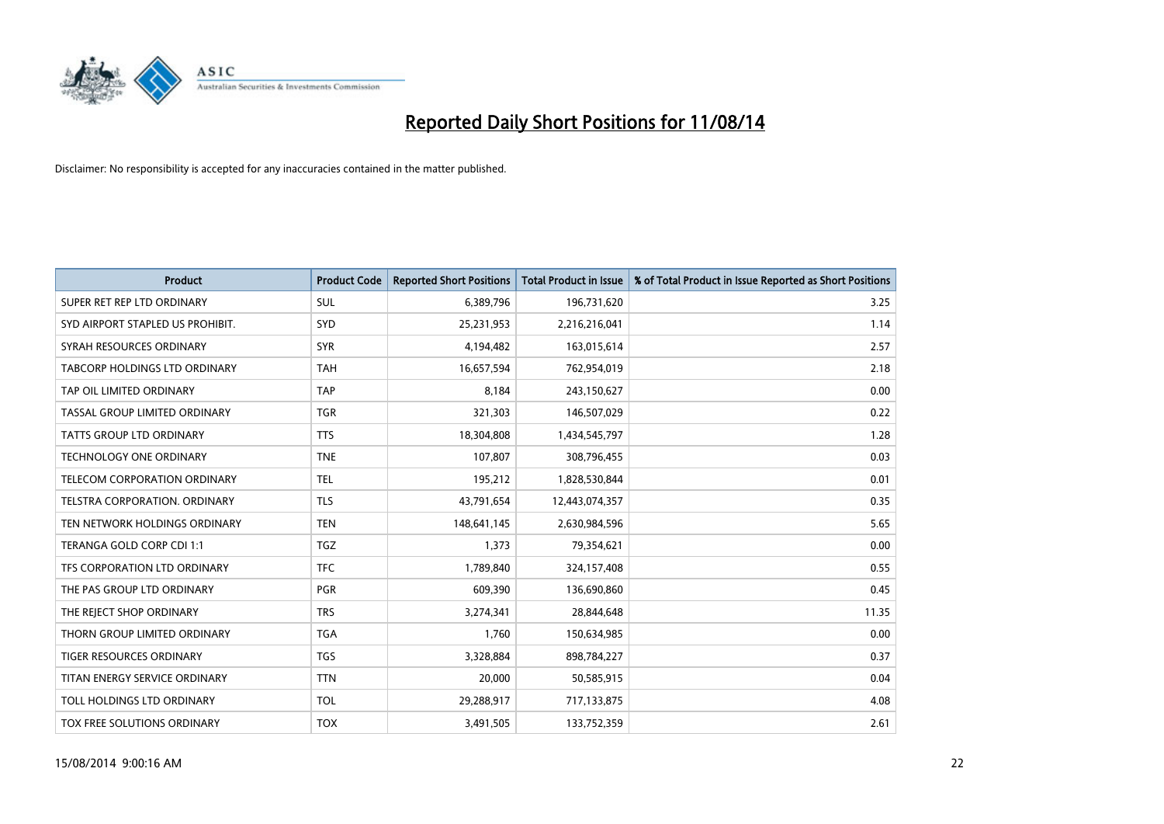

| <b>Product</b>                   | <b>Product Code</b> | <b>Reported Short Positions</b> | <b>Total Product in Issue</b> | % of Total Product in Issue Reported as Short Positions |
|----------------------------------|---------------------|---------------------------------|-------------------------------|---------------------------------------------------------|
| SUPER RET REP LTD ORDINARY       | <b>SUL</b>          | 6,389,796                       | 196,731,620                   | 3.25                                                    |
| SYD AIRPORT STAPLED US PROHIBIT. | <b>SYD</b>          | 25,231,953                      | 2,216,216,041                 | 1.14                                                    |
| SYRAH RESOURCES ORDINARY         | <b>SYR</b>          | 4,194,482                       | 163,015,614                   | 2.57                                                    |
| TABCORP HOLDINGS LTD ORDINARY    | <b>TAH</b>          | 16,657,594                      | 762,954,019                   | 2.18                                                    |
| TAP OIL LIMITED ORDINARY         | <b>TAP</b>          | 8,184                           | 243,150,627                   | 0.00                                                    |
| TASSAL GROUP LIMITED ORDINARY    | <b>TGR</b>          | 321,303                         | 146,507,029                   | 0.22                                                    |
| <b>TATTS GROUP LTD ORDINARY</b>  | <b>TTS</b>          | 18,304,808                      | 1,434,545,797                 | 1.28                                                    |
| TECHNOLOGY ONE ORDINARY          | <b>TNE</b>          | 107,807                         | 308,796,455                   | 0.03                                                    |
| TELECOM CORPORATION ORDINARY     | <b>TEL</b>          | 195,212                         | 1,828,530,844                 | 0.01                                                    |
| TELSTRA CORPORATION, ORDINARY    | <b>TLS</b>          | 43,791,654                      | 12,443,074,357                | 0.35                                                    |
| TEN NETWORK HOLDINGS ORDINARY    | <b>TEN</b>          | 148,641,145                     | 2,630,984,596                 | 5.65                                                    |
| TERANGA GOLD CORP CDI 1:1        | <b>TGZ</b>          | 1,373                           | 79,354,621                    | 0.00                                                    |
| TFS CORPORATION LTD ORDINARY     | <b>TFC</b>          | 1,789,840                       | 324,157,408                   | 0.55                                                    |
| THE PAS GROUP LTD ORDINARY       | <b>PGR</b>          | 609,390                         | 136,690,860                   | 0.45                                                    |
| THE REJECT SHOP ORDINARY         | <b>TRS</b>          | 3,274,341                       | 28,844,648                    | 11.35                                                   |
| THORN GROUP LIMITED ORDINARY     | <b>TGA</b>          | 1,760                           | 150,634,985                   | 0.00                                                    |
| TIGER RESOURCES ORDINARY         | TGS                 | 3,328,884                       | 898,784,227                   | 0.37                                                    |
| TITAN ENERGY SERVICE ORDINARY    | <b>TTN</b>          | 20,000                          | 50,585,915                    | 0.04                                                    |
| TOLL HOLDINGS LTD ORDINARY       | <b>TOL</b>          | 29,288,917                      | 717,133,875                   | 4.08                                                    |
| TOX FREE SOLUTIONS ORDINARY      | <b>TOX</b>          | 3,491,505                       | 133,752,359                   | 2.61                                                    |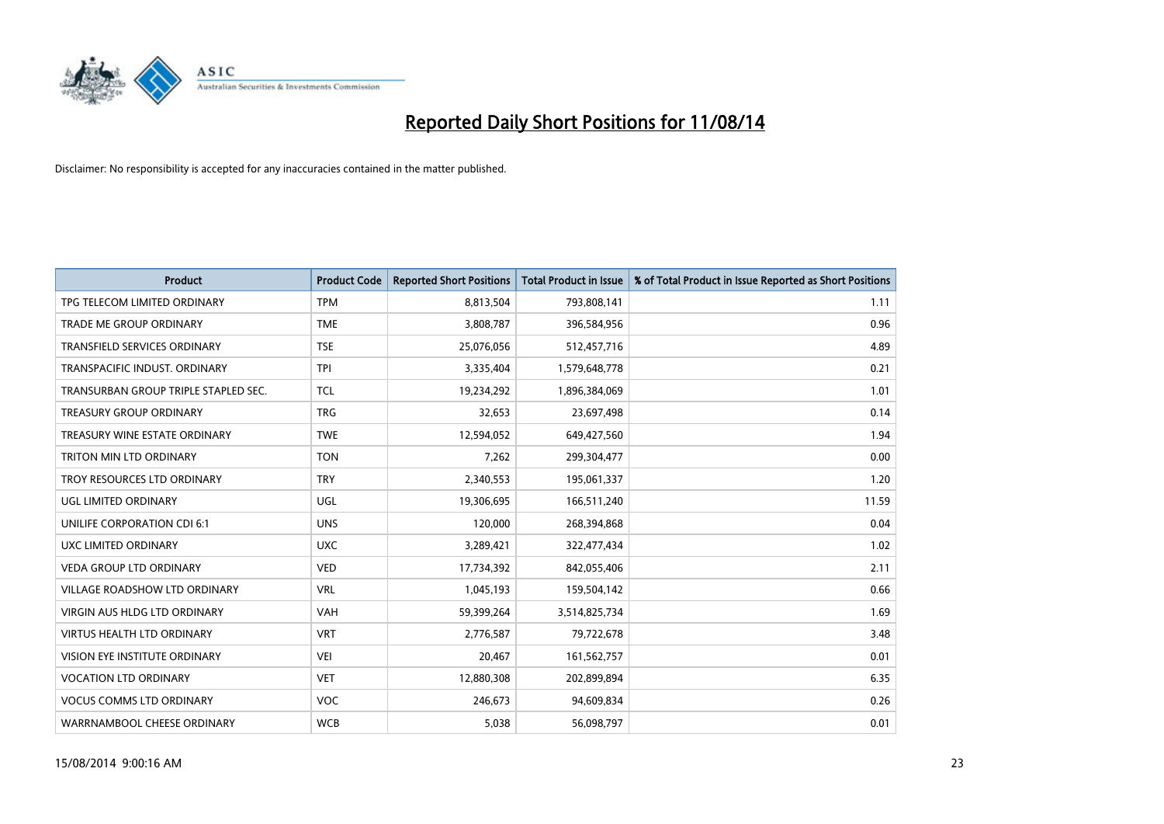

| <b>Product</b>                       | <b>Product Code</b> | <b>Reported Short Positions</b> | <b>Total Product in Issue</b> | % of Total Product in Issue Reported as Short Positions |
|--------------------------------------|---------------------|---------------------------------|-------------------------------|---------------------------------------------------------|
| TPG TELECOM LIMITED ORDINARY         | <b>TPM</b>          | 8,813,504                       | 793,808,141                   | 1.11                                                    |
| TRADE ME GROUP ORDINARY              | <b>TME</b>          | 3,808,787                       | 396,584,956                   | 0.96                                                    |
| <b>TRANSFIELD SERVICES ORDINARY</b>  | <b>TSE</b>          | 25,076,056                      | 512,457,716                   | 4.89                                                    |
| TRANSPACIFIC INDUST. ORDINARY        | <b>TPI</b>          | 3,335,404                       | 1,579,648,778                 | 0.21                                                    |
| TRANSURBAN GROUP TRIPLE STAPLED SEC. | <b>TCL</b>          | 19,234,292                      | 1,896,384,069                 | 1.01                                                    |
| <b>TREASURY GROUP ORDINARY</b>       | <b>TRG</b>          | 32,653                          | 23,697,498                    | 0.14                                                    |
| TREASURY WINE ESTATE ORDINARY        | <b>TWE</b>          | 12,594,052                      | 649,427,560                   | 1.94                                                    |
| TRITON MIN LTD ORDINARY              | <b>TON</b>          | 7,262                           | 299,304,477                   | 0.00                                                    |
| TROY RESOURCES LTD ORDINARY          | <b>TRY</b>          | 2,340,553                       | 195,061,337                   | 1.20                                                    |
| <b>UGL LIMITED ORDINARY</b>          | UGL                 | 19,306,695                      | 166,511,240                   | 11.59                                                   |
| UNILIFE CORPORATION CDI 6:1          | <b>UNS</b>          | 120,000                         | 268,394,868                   | 0.04                                                    |
| UXC LIMITED ORDINARY                 | <b>UXC</b>          | 3,289,421                       | 322,477,434                   | 1.02                                                    |
| <b>VEDA GROUP LTD ORDINARY</b>       | <b>VED</b>          | 17,734,392                      | 842,055,406                   | 2.11                                                    |
| <b>VILLAGE ROADSHOW LTD ORDINARY</b> | <b>VRL</b>          | 1,045,193                       | 159,504,142                   | 0.66                                                    |
| <b>VIRGIN AUS HLDG LTD ORDINARY</b>  | <b>VAH</b>          | 59,399,264                      | 3,514,825,734                 | 1.69                                                    |
| VIRTUS HEALTH LTD ORDINARY           | <b>VRT</b>          | 2,776,587                       | 79,722,678                    | 3.48                                                    |
| VISION EYE INSTITUTE ORDINARY        | <b>VEI</b>          | 20,467                          | 161,562,757                   | 0.01                                                    |
| <b>VOCATION LTD ORDINARY</b>         | <b>VET</b>          | 12,880,308                      | 202,899,894                   | 6.35                                                    |
| <b>VOCUS COMMS LTD ORDINARY</b>      | <b>VOC</b>          | 246,673                         | 94,609,834                    | 0.26                                                    |
| WARRNAMBOOL CHEESE ORDINARY          | <b>WCB</b>          | 5,038                           | 56,098,797                    | 0.01                                                    |